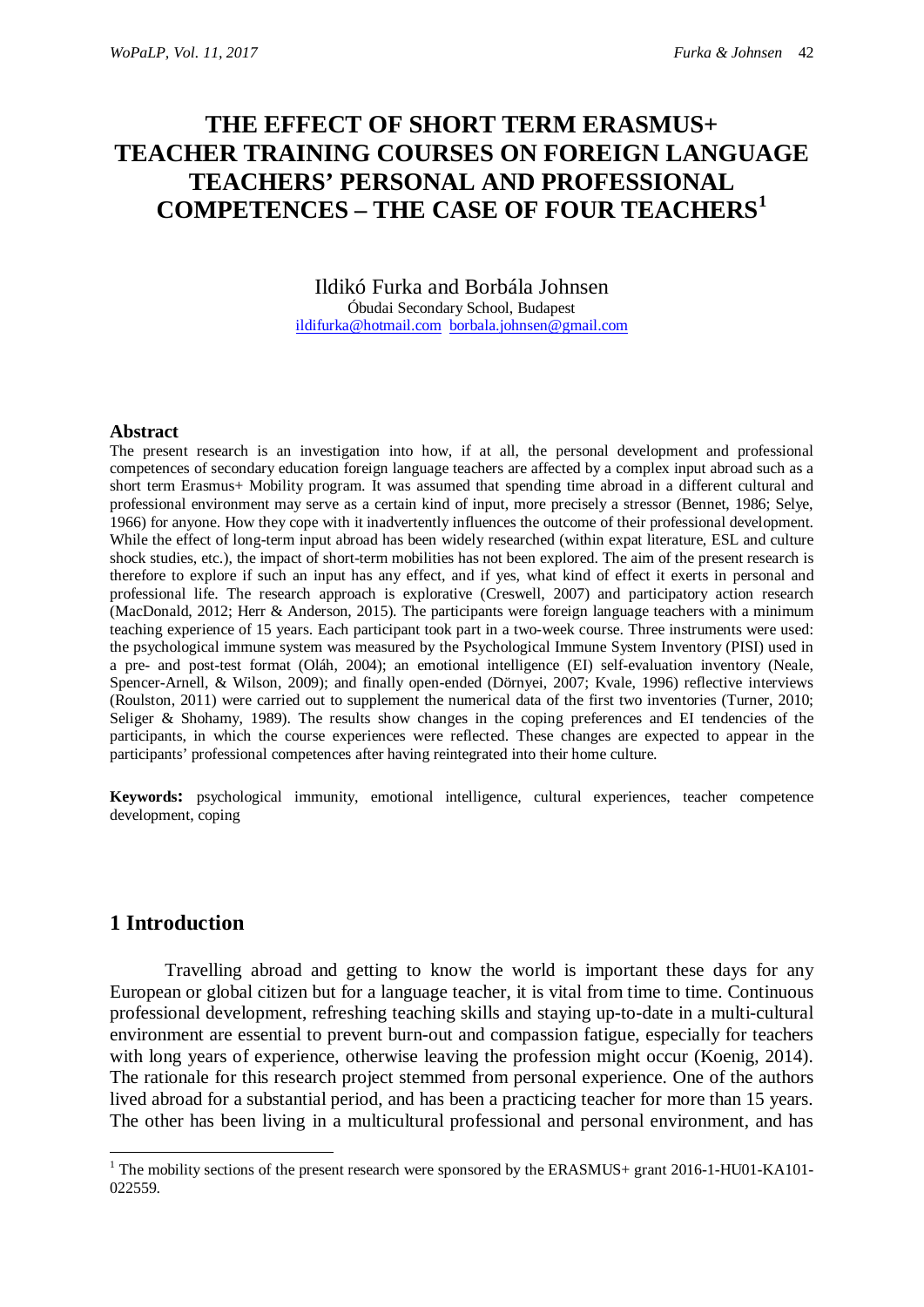# **THE EFFECT OF SHORT TERM ERASMUS+ TEACHER TRAINING COURSES ON FOREIGN LANGUAGE TEACHERS' PERSONAL AND PROFESSIONAL COMPETENCES – THE CASE OF FOUR TEACHERS[1](#page-0-0)**

Ildikó Furka and Borbála Johnsen Óbudai Secondary School, Budapest [ildifurka@hotmail.com](mailto:ildifurka@hotmail.com) [borbala.johnsen@gmail.com](mailto:borbala.johnsen@gmail.com)

#### **Abstract**

The present research is an investigation into how, if at all, the personal development and professional competences of secondary education foreign language teachers are affected by a complex input abroad such as a short term Erasmus+ Mobility program. It was assumed that spending time abroad in a different cultural and professional environment may serve as a certain kind of input, more precisely a stressor (Bennet, 1986; Selye, 1966) for anyone. How they cope with it inadvertently influences the outcome of their professional development. While the effect of long-term input abroad has been widely researched (within expat literature, ESL and culture shock studies, etc.), the impact of short-term mobilities has not been explored. The aim of the present research is therefore to explore if such an input has any effect, and if yes, what kind of effect it exerts in personal and professional life. The research approach is explorative (Creswell, 2007) and participatory action research (MacDonald, 2012; Herr & Anderson, 2015). The participants were foreign language teachers with a minimum teaching experience of 15 years. Each participant took part in a two-week course. Three instruments were used: the psychological immune system was measured by the Psychological Immune System Inventory (PISI) used in a pre- and post-test format (Oláh, 2004); an emotional intelligence (EI) self-evaluation inventory (Neale, Spencer-Arnell, & Wilson, 2009); and finally open-ended (Dörnyei, 2007; Kvale, 1996) reflective interviews (Roulston, 2011) were carried out to supplement the numerical data of the first two inventories (Turner, 2010; Seliger & Shohamy, 1989). The results show changes in the coping preferences and EI tendencies of the participants, in which the course experiences were reflected. These changes are expected to appear in the participants' professional competences after having reintegrated into their home culture.

**Keywords:** psychological immunity, emotional intelligence, cultural experiences, teacher competence development, coping

# **1 Introduction**

Travelling abroad and getting to know the world is important these days for any European or global citizen but for a language teacher, it is vital from time to time. Continuous professional development, refreshing teaching skills and staying up-to-date in a multi-cultural environment are essential to prevent burn-out and compassion fatigue, especially for teachers with long years of experience, otherwise leaving the profession might occur (Koenig, 2014). The rationale for this research project stemmed from personal experience. One of the authors lived abroad for a substantial period, and has been a practicing teacher for more than 15 years. The other has been living in a multicultural professional and personal environment, and has

<span id="page-0-0"></span> $1$  The mobility sections of the present research were sponsored by the ERASMUS+ grant 2016-1-HU01-KA101-022559.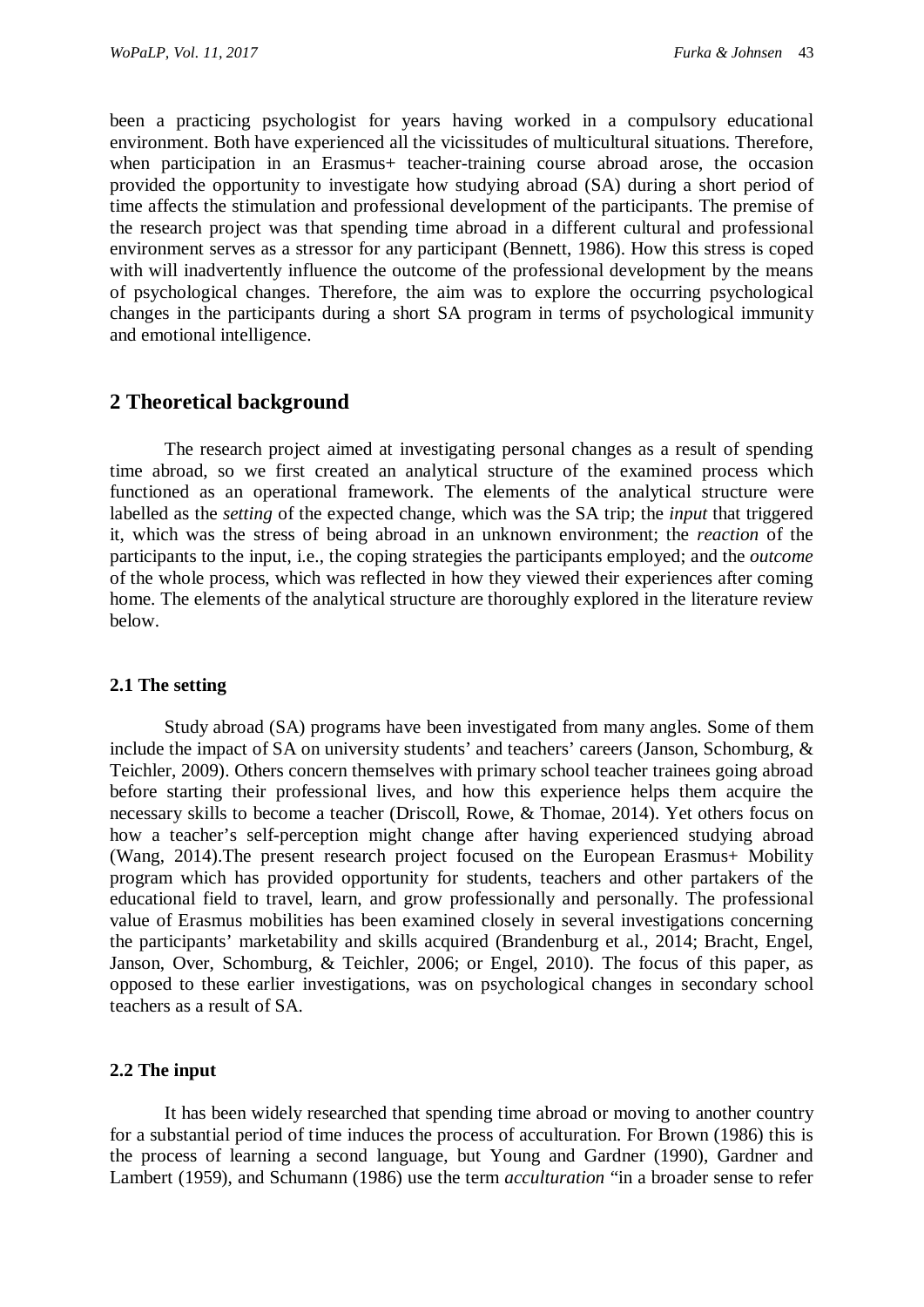been a practicing psychologist for years having worked in a compulsory educational environment. Both have experienced all the vicissitudes of multicultural situations. Therefore, when participation in an Erasmus+ teacher-training course abroad arose, the occasion provided the opportunity to investigate how studying abroad (SA) during a short period of time affects the stimulation and professional development of the participants. The premise of the research project was that spending time abroad in a different cultural and professional environment serves as a stressor for any participant (Bennett, 1986). How this stress is coped with will inadvertently influence the outcome of the professional development by the means of psychological changes. Therefore, the aim was to explore the occurring psychological changes in the participants during a short SA program in terms of psychological immunity and emotional intelligence.

# **2 Theoretical background**

The research project aimed at investigating personal changes as a result of spending time abroad, so we first created an analytical structure of the examined process which functioned as an operational framework. The elements of the analytical structure were labelled as the *setting* of the expected change, which was the SA trip; the *input* that triggered it, which was the stress of being abroad in an unknown environment; the *reaction* of the participants to the input, i.e., the coping strategies the participants employed; and the *outcome* of the whole process, which was reflected in how they viewed their experiences after coming home. The elements of the analytical structure are thoroughly explored in the literature review below.

### **2.1 The setting**

Study abroad (SA) programs have been investigated from many angles. Some of them include the impact of SA on university students' and teachers' careers (Janson, Schomburg, & Teichler, 2009). Others concern themselves with primary school teacher trainees going abroad before starting their professional lives, and how this experience helps them acquire the necessary skills to become a teacher (Driscoll, Rowe, & Thomae, 2014). Yet others focus on how a teacher's self-perception might change after having experienced studying abroad (Wang, 2014).The present research project focused on the European Erasmus+ Mobility program which has provided opportunity for students, teachers and other partakers of the educational field to travel, learn, and grow professionally and personally. The professional value of Erasmus mobilities has been examined closely in several investigations concerning the participants' marketability and skills acquired (Brandenburg et al., 2014; Bracht, Engel, Janson, Over, Schomburg, & Teichler, 2006; or Engel, 2010). The focus of this paper, as opposed to these earlier investigations, was on psychological changes in secondary school teachers as a result of SA.

### **2.2 The input**

It has been widely researched that spending time abroad or moving to another country for a substantial period of time induces the process of acculturation. For Brown (1986) this is the process of learning a second language, but Young and Gardner (1990), Gardner and Lambert (1959), and Schumann (1986) use the term *acculturation* "in a broader sense to refer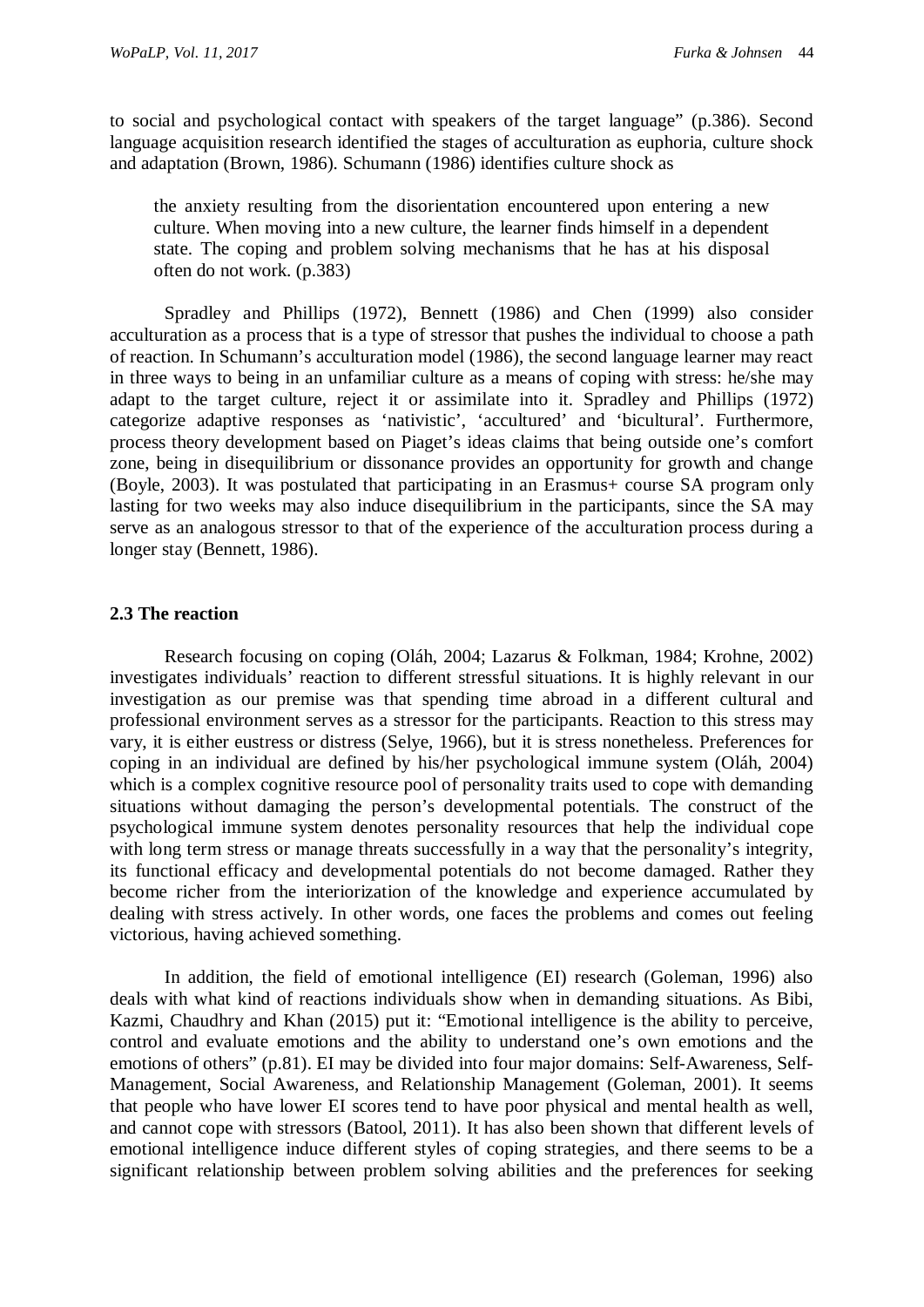to social and psychological contact with speakers of the target language" (p.386). Second language acquisition research identified the stages of acculturation as euphoria, culture shock and adaptation (Brown, 1986). Schumann (1986) identifies culture shock as

the anxiety resulting from the disorientation encountered upon entering a new culture. When moving into a new culture, the learner finds himself in a dependent state. The coping and problem solving mechanisms that he has at his disposal often do not work. (p.383)

Spradley and Phillips (1972), Bennett (1986) and Chen (1999) also consider acculturation as a process that is a type of stressor that pushes the individual to choose a path of reaction. In Schumann's acculturation model (1986), the second language learner may react in three ways to being in an unfamiliar culture as a means of coping with stress: he/she may adapt to the target culture, reject it or assimilate into it. Spradley and Phillips (1972) categorize adaptive responses as 'nativistic', 'accultured' and 'bicultural'. Furthermore, process theory development based on Piaget's ideas claims that being outside one's comfort zone, being in disequilibrium or dissonance provides an opportunity for growth and change (Boyle, 2003). It was postulated that participating in an Erasmus+ course SA program only lasting for two weeks may also induce disequilibrium in the participants, since the SA may serve as an analogous stressor to that of the experience of the acculturation process during a longer stay (Bennett, 1986).

### **2.3 The reaction**

Research focusing on coping (Oláh, 2004; Lazarus & Folkman, 1984; Krohne, 2002) investigates individuals' reaction to different stressful situations. It is highly relevant in our investigation as our premise was that spending time abroad in a different cultural and professional environment serves as a stressor for the participants. Reaction to this stress may vary, it is either eustress or distress (Selye, 1966), but it is stress nonetheless. Preferences for coping in an individual are defined by his/her psychological immune system (Oláh, 2004) which is a complex cognitive resource pool of personality traits used to cope with demanding situations without damaging the person's developmental potentials. The construct of the psychological immune system denotes personality resources that help the individual cope with long term stress or manage threats successfully in a way that the personality's integrity, its functional efficacy and developmental potentials do not become damaged. Rather they become richer from the interiorization of the knowledge and experience accumulated by dealing with stress actively. In other words, one faces the problems and comes out feeling victorious, having achieved something.

In addition, the field of emotional intelligence (EI) research (Goleman, 1996) also deals with what kind of reactions individuals show when in demanding situations. As Bibi, Kazmi, Chaudhry and Khan (2015) put it: "Emotional intelligence is the ability to perceive, control and evaluate emotions and the ability to understand one's own emotions and the emotions of others" (p.81). EI may be divided into four major domains: Self-Awareness, Self-Management, Social Awareness, and Relationship Management (Goleman, 2001). It seems that people who have lower EI scores tend to have poor physical and mental health as well, and cannot cope with stressors (Batool, 2011). It has also been shown that different levels of emotional intelligence induce different styles of coping strategies, and there seems to be a significant relationship between problem solving abilities and the preferences for seeking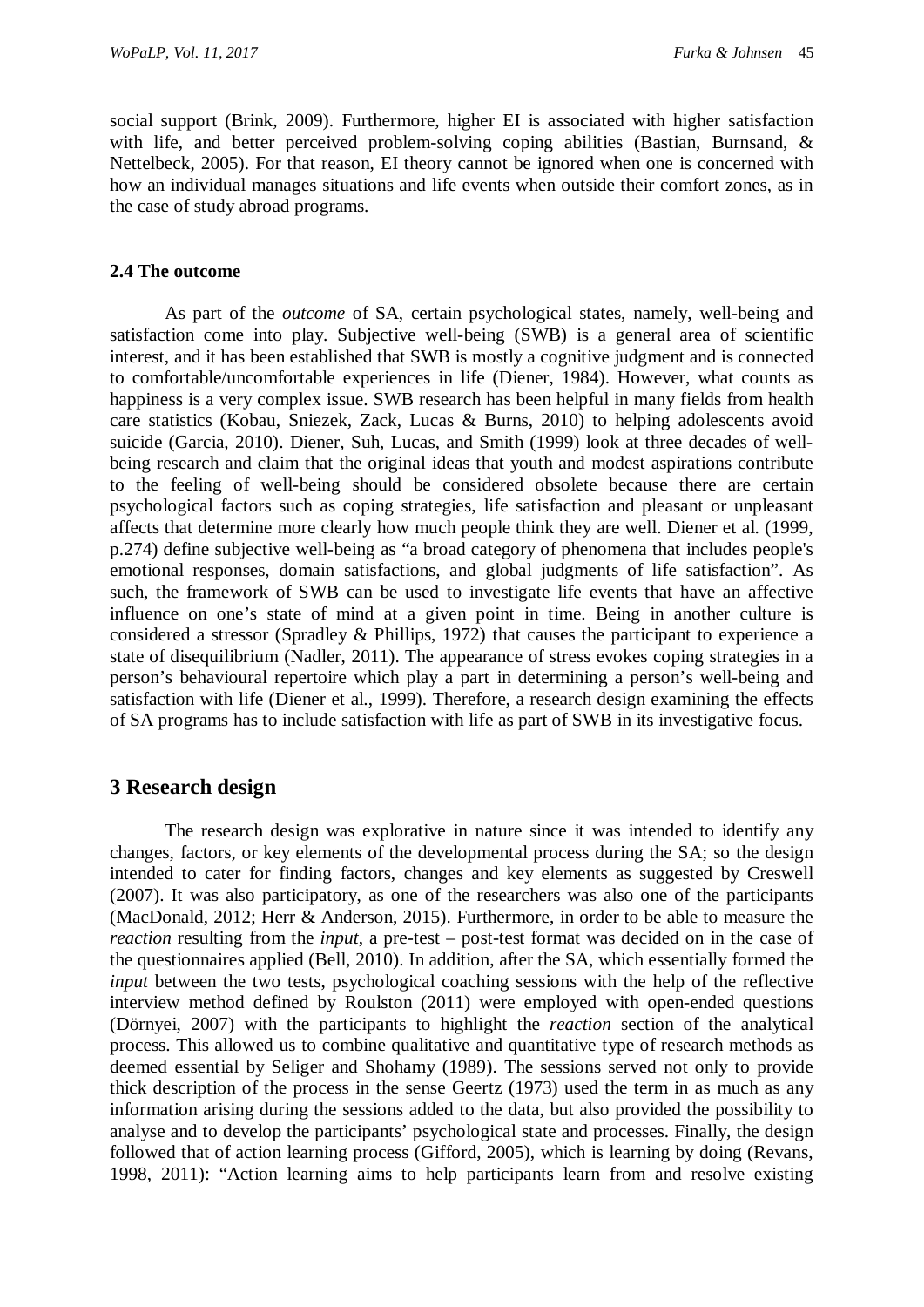social support (Brink, 2009). Furthermore, higher EI is associated with higher satisfaction with life, and better perceived problem-solving coping abilities (Bastian, Burnsand, & Nettelbeck, 2005). For that reason, EI theory cannot be ignored when one is concerned with how an individual manages situations and life events when outside their comfort zones, as in the case of study abroad programs.

### **2.4 The outcome**

As part of the *outcome* of SA, certain psychological states, namely, well-being and satisfaction come into play. Subjective well-being (SWB) is a general area of scientific interest, and it has been established that SWB is mostly a cognitive judgment and is connected to comfortable/uncomfortable experiences in life (Diener, 1984). However, what counts as happiness is a very complex issue. SWB research has been helpful in many fields from health care statistics (Kobau, Sniezek, Zack, Lucas & Burns, 2010) to helping adolescents avoid suicide (Garcia, 2010). Diener, Suh, Lucas, and Smith (1999) look at three decades of wellbeing research and claim that the original ideas that youth and modest aspirations contribute to the feeling of well-being should be considered obsolete because there are certain psychological factors such as coping strategies, life satisfaction and pleasant or unpleasant affects that determine more clearly how much people think they are well. Diener et al. (1999, p.274) define subjective well-being as "a broad category of phenomena that includes people's emotional responses, domain satisfactions, and global judgments of life satisfaction". As such, the framework of SWB can be used to investigate life events that have an affective influence on one's state of mind at a given point in time. Being in another culture is considered a stressor (Spradley & Phillips, 1972) that causes the participant to experience a state of disequilibrium (Nadler, 2011). The appearance of stress evokes coping strategies in a person's behavioural repertoire which play a part in determining a person's well-being and satisfaction with life (Diener et al., 1999). Therefore, a research design examining the effects of SA programs has to include satisfaction with life as part of SWB in its investigative focus.

# **3 Research design**

The research design was explorative in nature since it was intended to identify any changes, factors, or key elements of the developmental process during the SA; so the design intended to cater for finding factors, changes and key elements as suggested by Creswell (2007). It was also participatory, as one of the researchers was also one of the participants (MacDonald, 2012; Herr & Anderson, 2015). Furthermore, in order to be able to measure the *reaction* resulting from the *input*, a pre-test – post-test format was decided on in the case of the questionnaires applied (Bell, 2010). In addition, after the SA, which essentially formed the *input* between the two tests, psychological coaching sessions with the help of the reflective interview method defined by Roulston (2011) were employed with open-ended questions (Dörnyei, 2007) with the participants to highlight the *reaction* section of the analytical process. This allowed us to combine qualitative and quantitative type of research methods as deemed essential by Seliger and Shohamy (1989). The sessions served not only to provide thick description of the process in the sense Geertz (1973) used the term in as much as any information arising during the sessions added to the data, but also provided the possibility to analyse and to develop the participants' psychological state and processes. Finally, the design followed that of action learning process (Gifford, 2005), which is learning by doing (Revans, 1998, 2011): "Action learning aims to help participants learn from and resolve existing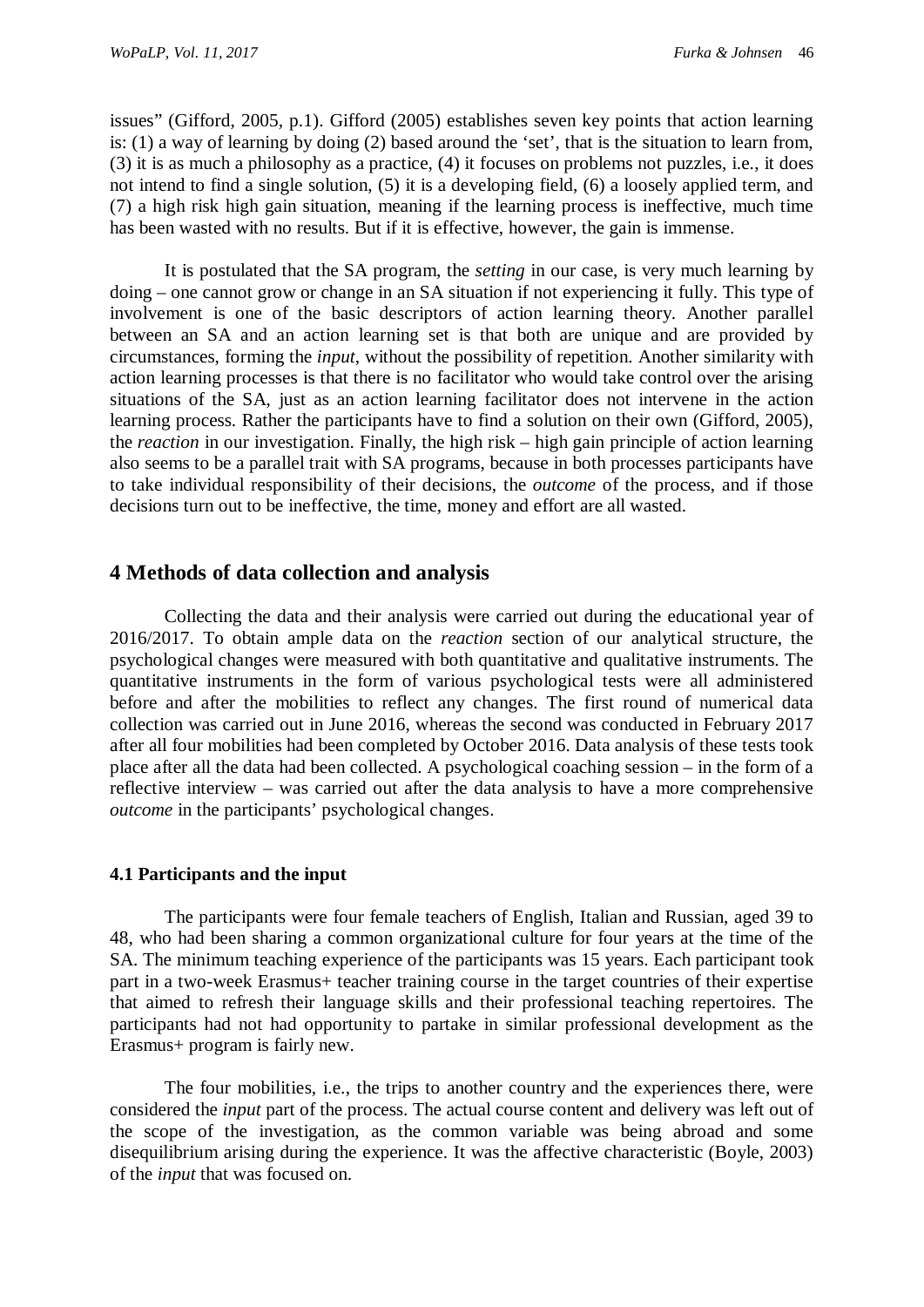issues" (Gifford, 2005, p.1). Gifford (2005) establishes seven key points that action learning is: (1) a way of learning by doing (2) based around the 'set', that is the situation to learn from, (3) it is as much a philosophy as a practice, (4) it focuses on problems not puzzles, i.e., it does not intend to find a single solution, (5) it is a developing field, (6) a loosely applied term, and (7) a high risk high gain situation, meaning if the learning process is ineffective, much time has been wasted with no results. But if it is effective, however, the gain is immense.

It is postulated that the SA program, the *setting* in our case, is very much learning by doing – one cannot grow or change in an SA situation if not experiencing it fully. This type of involvement is one of the basic descriptors of action learning theory. Another parallel between an SA and an action learning set is that both are unique and are provided by circumstances, forming the *input*, without the possibility of repetition. Another similarity with action learning processes is that there is no facilitator who would take control over the arising situations of the SA, just as an action learning facilitator does not intervene in the action learning process. Rather the participants have to find a solution on their own (Gifford, 2005), the *reaction* in our investigation. Finally, the high risk – high gain principle of action learning also seems to be a parallel trait with SA programs, because in both processes participants have to take individual responsibility of their decisions, the *outcome* of the process, and if those decisions turn out to be ineffective, the time, money and effort are all wasted.

## **4 Methods of data collection and analysis**

Collecting the data and their analysis were carried out during the educational year of 2016/2017. To obtain ample data on the *reaction* section of our analytical structure, the psychological changes were measured with both quantitative and qualitative instruments. The quantitative instruments in the form of various psychological tests were all administered before and after the mobilities to reflect any changes. The first round of numerical data collection was carried out in June 2016, whereas the second was conducted in February 2017 after all four mobilities had been completed by October 2016. Data analysis of these tests took place after all the data had been collected. A psychological coaching session – in the form of a reflective interview – was carried out after the data analysis to have a more comprehensive *outcome* in the participants' psychological changes.

### **4.1 Participants and the input**

The participants were four female teachers of English, Italian and Russian, aged 39 to 48, who had been sharing a common organizational culture for four years at the time of the SA. The minimum teaching experience of the participants was 15 years. Each participant took part in a two-week Erasmus+ teacher training course in the target countries of their expertise that aimed to refresh their language skills and their professional teaching repertoires. The participants had not had opportunity to partake in similar professional development as the Erasmus+ program is fairly new.

The four mobilities, i.e., the trips to another country and the experiences there, were considered the *input* part of the process. The actual course content and delivery was left out of the scope of the investigation, as the common variable was being abroad and some disequilibrium arising during the experience. It was the affective characteristic (Boyle, 2003) of the *input* that was focused on.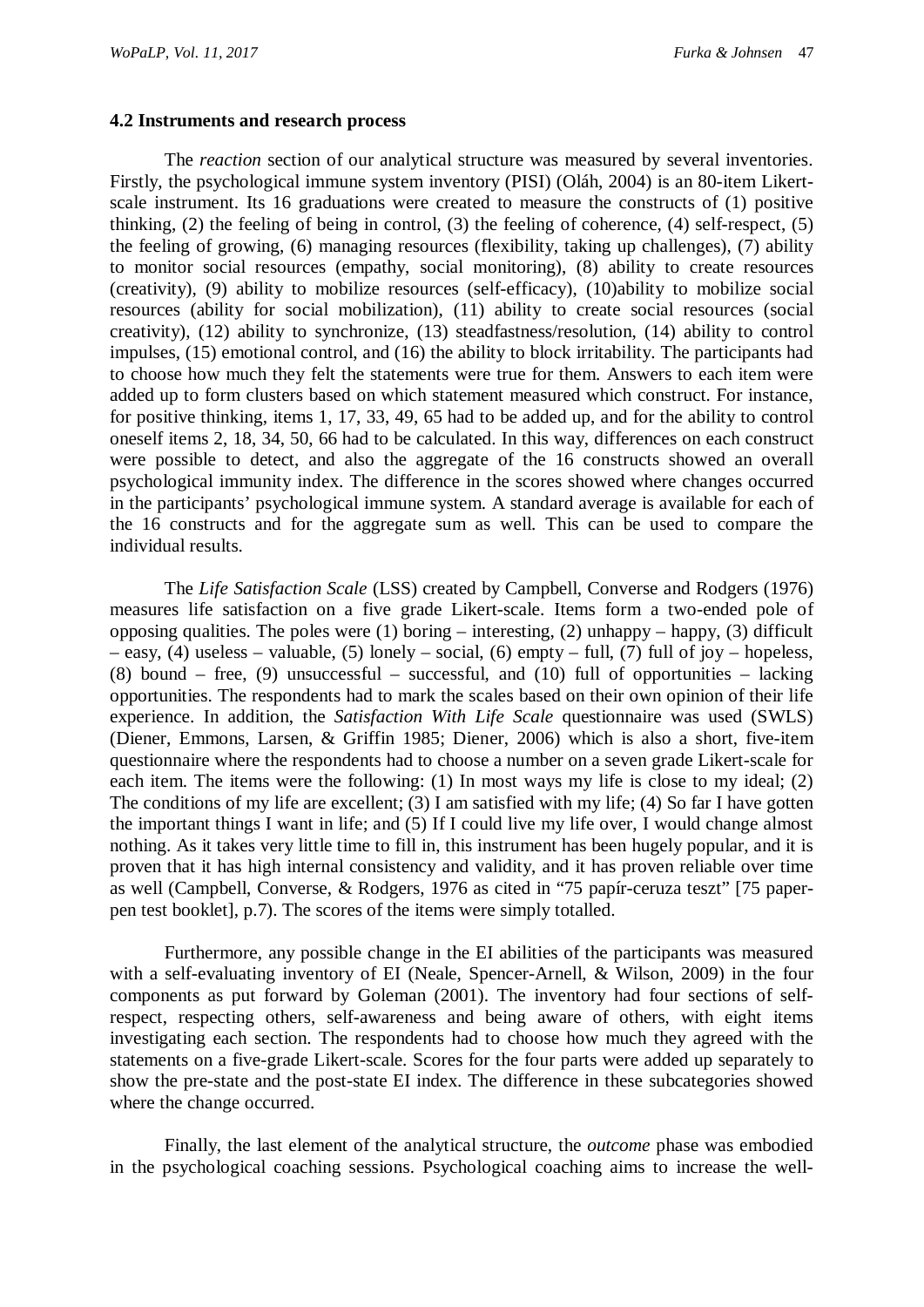### **4.2 Instruments and research process**

The *reaction* section of our analytical structure was measured by several inventories. Firstly, the psychological immune system inventory (PISI) (Oláh, 2004) is an 80-item Likertscale instrument. Its 16 graduations were created to measure the constructs of (1) positive thinking, (2) the feeling of being in control, (3) the feeling of coherence, (4) self-respect, (5) the feeling of growing, (6) managing resources (flexibility, taking up challenges), (7) ability to monitor social resources (empathy, social monitoring), (8) ability to create resources (creativity), (9) ability to mobilize resources (self-efficacy), (10)ability to mobilize social resources (ability for social mobilization), (11) ability to create social resources (social creativity), (12) ability to synchronize, (13) steadfastness/resolution, (14) ability to control impulses, (15) emotional control, and (16) the ability to block irritability. The participants had to choose how much they felt the statements were true for them. Answers to each item were added up to form clusters based on which statement measured which construct. For instance, for positive thinking, items 1, 17, 33, 49, 65 had to be added up, and for the ability to control oneself items 2, 18, 34, 50, 66 had to be calculated. In this way, differences on each construct were possible to detect, and also the aggregate of the 16 constructs showed an overall psychological immunity index. The difference in the scores showed where changes occurred in the participants' psychological immune system. A standard average is available for each of the 16 constructs and for the aggregate sum as well. This can be used to compare the individual results.

The *Life Satisfaction Scale* (LSS) created by Campbell, Converse and Rodgers (1976) measures life satisfaction on a five grade Likert-scale. Items form a two-ended pole of opposing qualities. The poles were (1) boring – interesting, (2) unhappy – happy, (3) difficult – easy, (4) useless – valuable, (5) lonely – social, (6) empty – full, (7) full of joy – hopeless, (8) bound – free, (9) unsuccessful – successful, and (10) full of opportunities – lacking opportunities. The respondents had to mark the scales based on their own opinion of their life experience. In addition, the *Satisfaction With Life Scale* questionnaire was used (SWLS) (Diener, Emmons, Larsen, & Griffin 1985; Diener, 2006) which is also a short, five-item questionnaire where the respondents had to choose a number on a seven grade Likert-scale for each item. The items were the following: (1) In most ways my life is close to my ideal; (2) The conditions of my life are excellent; (3) I am satisfied with my life; (4) So far I have gotten the important things I want in life; and (5) If I could live my life over, I would change almost nothing. As it takes very little time to fill in, this instrument has been hugely popular, and it is proven that it has high internal consistency and validity, and it has proven reliable over time as well (Campbell, Converse, & Rodgers, 1976 as cited in "75 papír-ceruza teszt" [75 paperpen test booklet], p.7). The scores of the items were simply totalled.

Furthermore, any possible change in the EI abilities of the participants was measured with a self-evaluating inventory of EI (Neale, Spencer-Arnell, & Wilson, 2009) in the four components as put forward by Goleman (2001). The inventory had four sections of selfrespect, respecting others, self-awareness and being aware of others, with eight items investigating each section. The respondents had to choose how much they agreed with the statements on a five-grade Likert-scale. Scores for the four parts were added up separately to show the pre-state and the post-state EI index. The difference in these subcategories showed where the change occurred.

Finally, the last element of the analytical structure, the *outcome* phase was embodied in the psychological coaching sessions. Psychological coaching aims to increase the well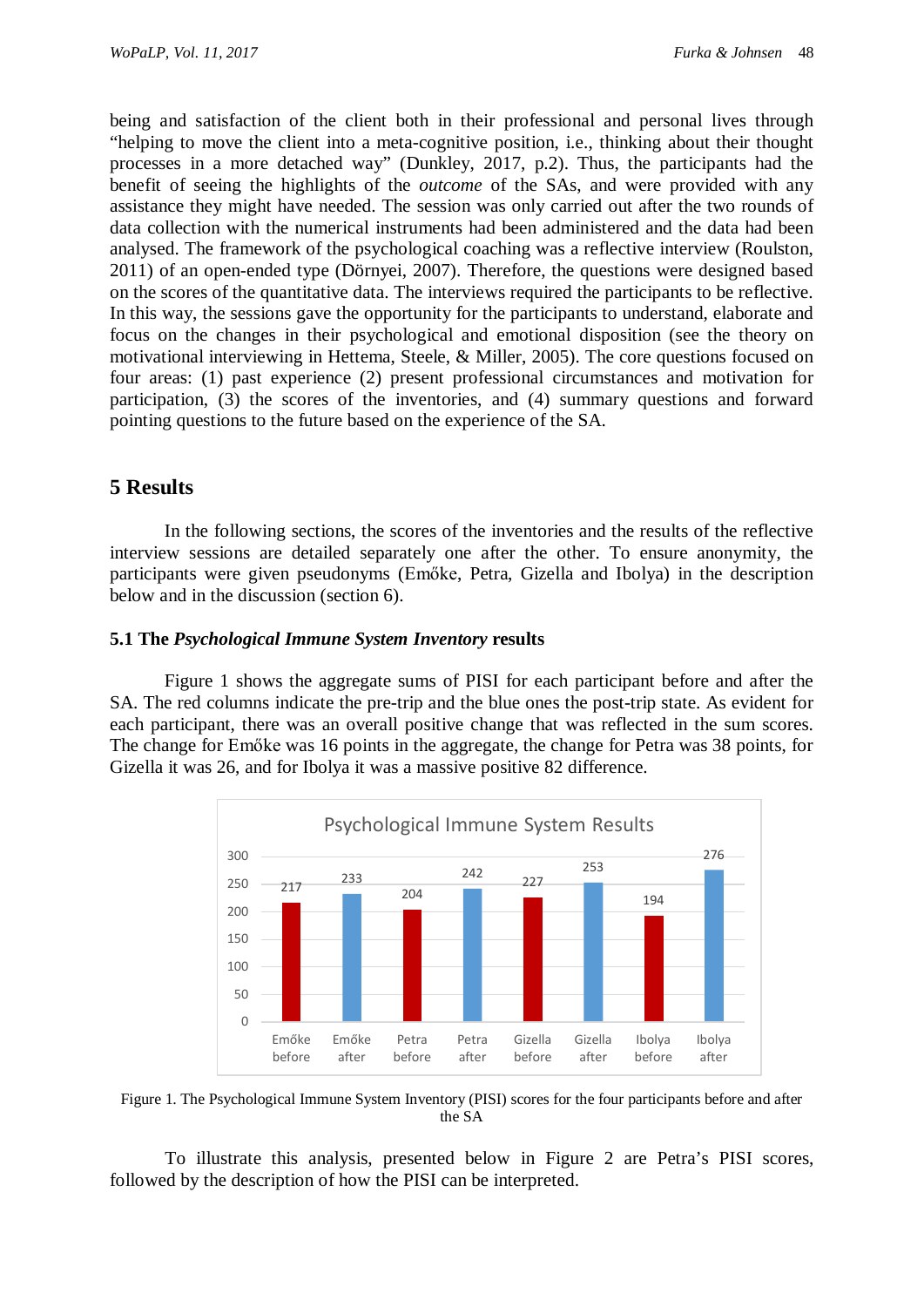being and satisfaction of the client both in their professional and personal lives through "helping to move the client into a meta-cognitive position, i.e., thinking about their thought processes in a more detached way" (Dunkley, 2017, p.2). Thus, the participants had the benefit of seeing the highlights of the *outcome* of the SAs, and were provided with any assistance they might have needed. The session was only carried out after the two rounds of data collection with the numerical instruments had been administered and the data had been analysed. The framework of the psychological coaching was a reflective interview (Roulston, 2011) of an open-ended type (Dörnyei, 2007). Therefore, the questions were designed based on the scores of the quantitative data. The interviews required the participants to be reflective. In this way, the sessions gave the opportunity for the participants to understand, elaborate and focus on the changes in their psychological and emotional disposition (see the theory on motivational interviewing in Hettema, Steele, & Miller, 2005). The core questions focused on four areas: (1) past experience (2) present professional circumstances and motivation for participation, (3) the scores of the inventories, and (4) summary questions and forward pointing questions to the future based on the experience of the SA.

# **5 Results**

In the following sections, the scores of the inventories and the results of the reflective interview sessions are detailed separately one after the other. To ensure anonymity, the participants were given pseudonyms (Emőke, Petra, Gizella and Ibolya) in the description below and in the discussion (section 6).

### **5.1 The** *Psychological Immune System Inventory* **results**

Figure 1 shows the aggregate sums of PISI for each participant before and after the SA. The red columns indicate the pre-trip and the blue ones the post-trip state. As evident for each participant, there was an overall positive change that was reflected in the sum scores. The change for Emőke was 16 points in the aggregate, the change for Petra was 38 points, for Gizella it was 26, and for Ibolya it was a massive positive 82 difference.



Figure 1. The Psychological Immune System Inventory (PISI) scores for the four participants before and after the SA

To illustrate this analysis, presented below in Figure 2 are Petra's PISI scores, followed by the description of how the PISI can be interpreted.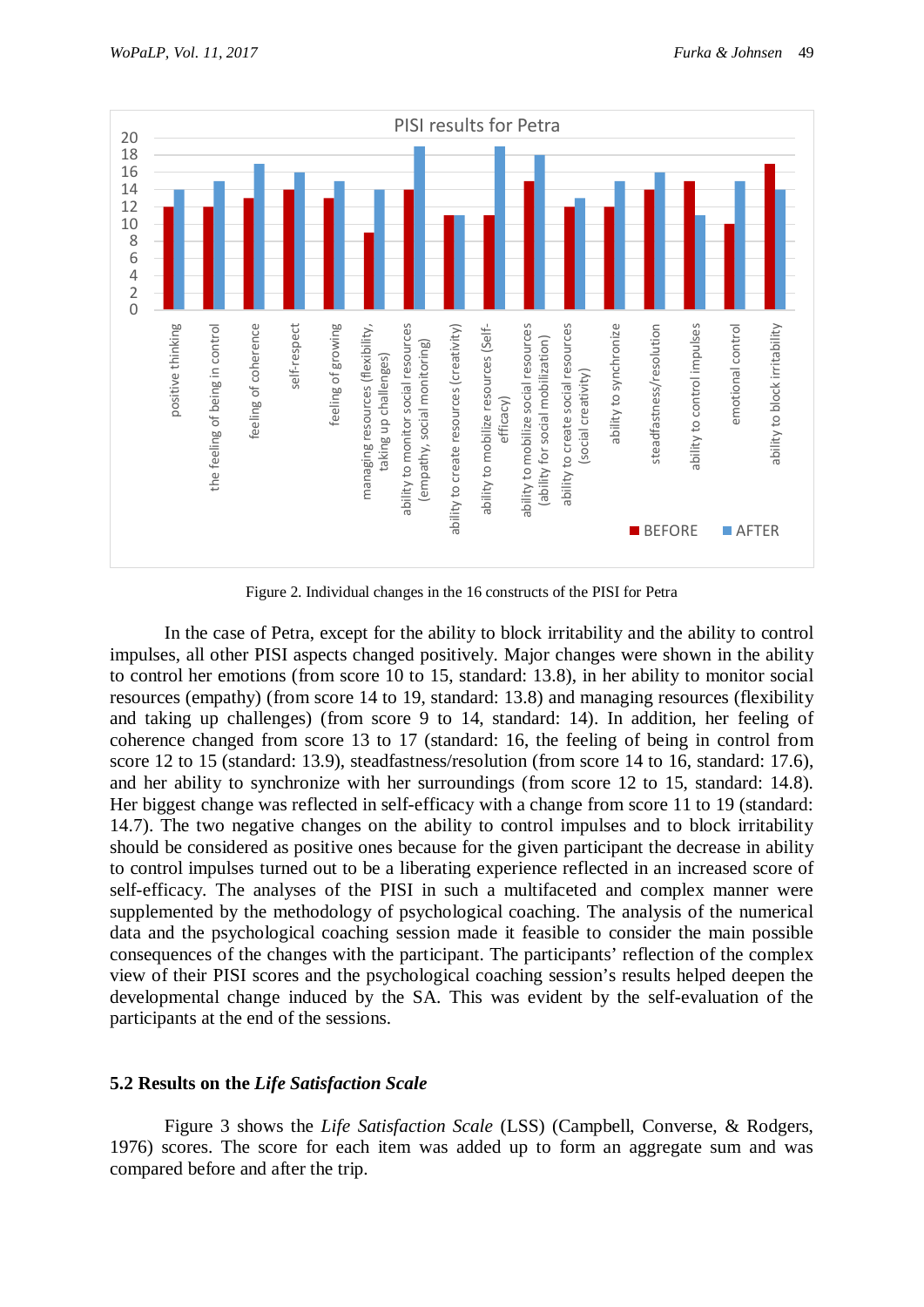

Figure 2. Individual changes in the 16 constructs of the PISI for Petra

In the case of Petra, except for the ability to block irritability and the ability to control impulses, all other PISI aspects changed positively. Major changes were shown in the ability to control her emotions (from score 10 to 15, standard: 13.8), in her ability to monitor social resources (empathy) (from score 14 to 19, standard: 13.8) and managing resources (flexibility and taking up challenges) (from score 9 to 14, standard: 14). In addition, her feeling of coherence changed from score 13 to 17 (standard: 16, the feeling of being in control from score 12 to 15 (standard: 13.9), steadfastness/resolution (from score 14 to 16, standard: 17.6), and her ability to synchronize with her surroundings (from score 12 to 15, standard: 14.8). Her biggest change was reflected in self-efficacy with a change from score 11 to 19 (standard: 14.7). The two negative changes on the ability to control impulses and to block irritability should be considered as positive ones because for the given participant the decrease in ability to control impulses turned out to be a liberating experience reflected in an increased score of self-efficacy. The analyses of the PISI in such a multifaceted and complex manner were supplemented by the methodology of psychological coaching. The analysis of the numerical data and the psychological coaching session made it feasible to consider the main possible consequences of the changes with the participant. The participants' reflection of the complex view of their PISI scores and the psychological coaching session's results helped deepen the developmental change induced by the SA. This was evident by the self-evaluation of the participants at the end of the sessions.

### **5.2 Results on the** *Life Satisfaction Scale*

Figure 3 shows the *Life Satisfaction Scale* (LSS) (Campbell, Converse, & Rodgers, 1976) scores. The score for each item was added up to form an aggregate sum and was compared before and after the trip.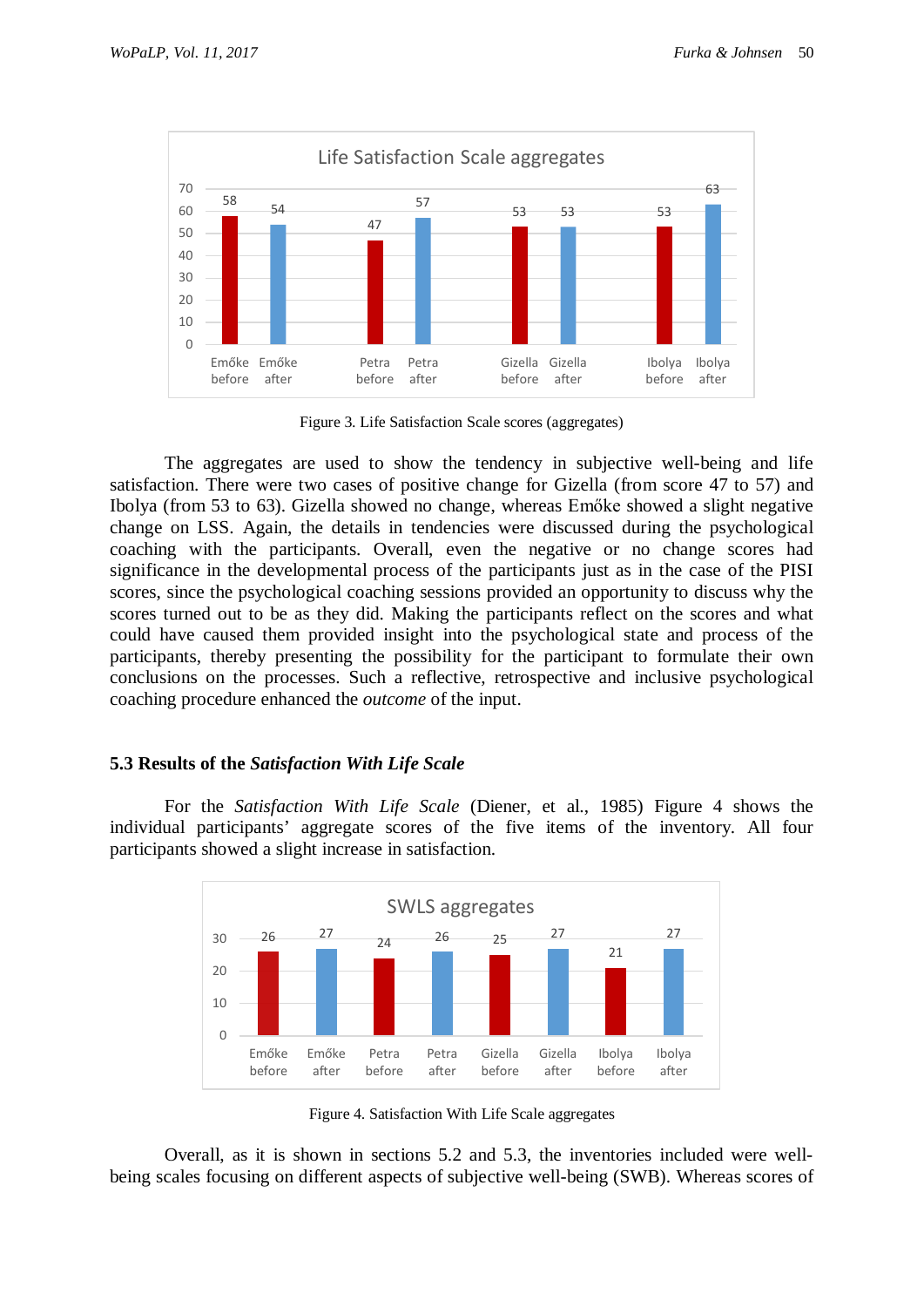

Figure 3. Life Satisfaction Scale scores (aggregates)

The aggregates are used to show the tendency in subjective well-being and life satisfaction. There were two cases of positive change for Gizella (from score 47 to 57) and Ibolya (from 53 to 63). Gizella showed no change, whereas Emőke showed a slight negative change on LSS. Again, the details in tendencies were discussed during the psychological coaching with the participants. Overall, even the negative or no change scores had significance in the developmental process of the participants just as in the case of the PISI scores, since the psychological coaching sessions provided an opportunity to discuss why the scores turned out to be as they did. Making the participants reflect on the scores and what could have caused them provided insight into the psychological state and process of the participants, thereby presenting the possibility for the participant to formulate their own conclusions on the processes. Such a reflective, retrospective and inclusive psychological coaching procedure enhanced the *outcome* of the input.

### **5.3 Results of the** *Satisfaction With Life Scale*

For the *Satisfaction With Life Scale* (Diener, et al., 1985) Figure 4 shows the individual participants' aggregate scores of the five items of the inventory. All four participants showed a slight increase in satisfaction.



Figure 4. Satisfaction With Life Scale aggregates

Overall, as it is shown in sections 5.2 and 5.3, the inventories included were wellbeing scales focusing on different aspects of subjective well-being (SWB). Whereas scores of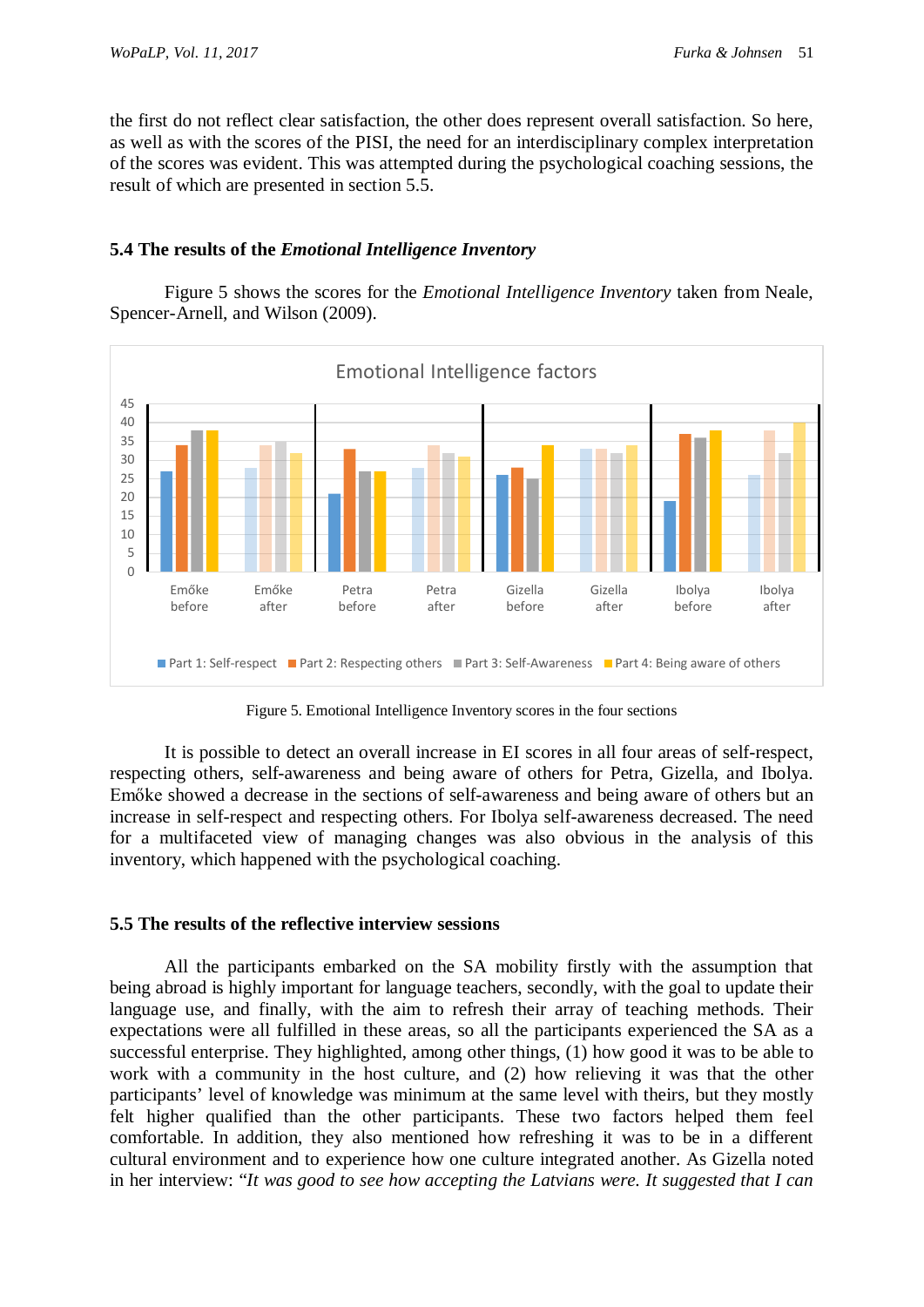the first do not reflect clear satisfaction, the other does represent overall satisfaction. So here, as well as with the scores of the PISI, the need for an interdisciplinary complex interpretation of the scores was evident. This was attempted during the psychological coaching sessions, the result of which are presented in section 5.5.

# **5.4 The results of the** *Emotional Intelligence Inventory*

Figure 5 shows the scores for the *Emotional Intelligence Inventory* taken from Neale, Spencer-Arnell, and Wilson (2009).



Figure 5. Emotional Intelligence Inventory scores in the four sections

It is possible to detect an overall increase in EI scores in all four areas of self-respect, respecting others, self-awareness and being aware of others for Petra, Gizella, and Ibolya. Emőke showed a decrease in the sections of self-awareness and being aware of others but an increase in self-respect and respecting others. For Ibolya self-awareness decreased. The need for a multifaceted view of managing changes was also obvious in the analysis of this inventory, which happened with the psychological coaching.

### **5.5 The results of the reflective interview sessions**

All the participants embarked on the SA mobility firstly with the assumption that being abroad is highly important for language teachers, secondly, with the goal to update their language use, and finally, with the aim to refresh their array of teaching methods. Their expectations were all fulfilled in these areas, so all the participants experienced the SA as a successful enterprise. They highlighted, among other things, (1) how good it was to be able to work with a community in the host culture, and (2) how relieving it was that the other participants' level of knowledge was minimum at the same level with theirs, but they mostly felt higher qualified than the other participants. These two factors helped them feel comfortable. In addition, they also mentioned how refreshing it was to be in a different cultural environment and to experience how one culture integrated another. As Gizella noted in her interview: "*It was good to see how accepting the Latvians were. It suggested that I can*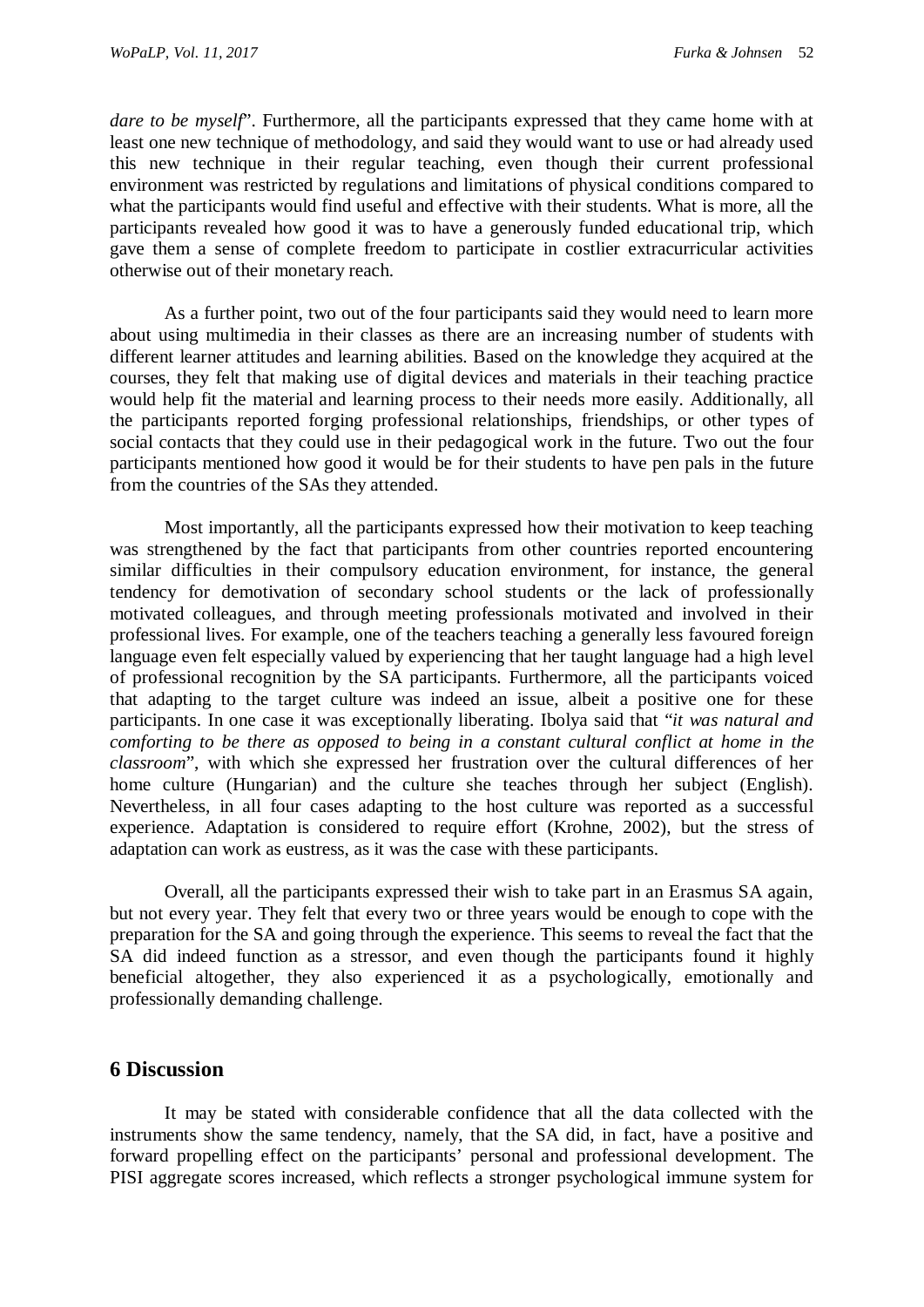*dare to be myself*". Furthermore, all the participants expressed that they came home with at least one new technique of methodology, and said they would want to use or had already used this new technique in their regular teaching, even though their current professional environment was restricted by regulations and limitations of physical conditions compared to what the participants would find useful and effective with their students. What is more, all the participants revealed how good it was to have a generously funded educational trip, which gave them a sense of complete freedom to participate in costlier extracurricular activities otherwise out of their monetary reach.

As a further point, two out of the four participants said they would need to learn more about using multimedia in their classes as there are an increasing number of students with different learner attitudes and learning abilities. Based on the knowledge they acquired at the courses, they felt that making use of digital devices and materials in their teaching practice would help fit the material and learning process to their needs more easily. Additionally, all the participants reported forging professional relationships, friendships, or other types of social contacts that they could use in their pedagogical work in the future. Two out the four participants mentioned how good it would be for their students to have pen pals in the future from the countries of the SAs they attended.

Most importantly, all the participants expressed how their motivation to keep teaching was strengthened by the fact that participants from other countries reported encountering similar difficulties in their compulsory education environment, for instance, the general tendency for demotivation of secondary school students or the lack of professionally motivated colleagues, and through meeting professionals motivated and involved in their professional lives. For example, one of the teachers teaching a generally less favoured foreign language even felt especially valued by experiencing that her taught language had a high level of professional recognition by the SA participants. Furthermore, all the participants voiced that adapting to the target culture was indeed an issue, albeit a positive one for these participants. In one case it was exceptionally liberating. Ibolya said that "*it was natural and comforting to be there as opposed to being in a constant cultural conflict at home in the classroom*", with which she expressed her frustration over the cultural differences of her home culture (Hungarian) and the culture she teaches through her subject (English). Nevertheless, in all four cases adapting to the host culture was reported as a successful experience. Adaptation is considered to require effort (Krohne, 2002), but the stress of adaptation can work as eustress, as it was the case with these participants.

Overall, all the participants expressed their wish to take part in an Erasmus SA again, but not every year. They felt that every two or three years would be enough to cope with the preparation for the SA and going through the experience. This seems to reveal the fact that the SA did indeed function as a stressor, and even though the participants found it highly beneficial altogether, they also experienced it as a psychologically, emotionally and professionally demanding challenge.

# **6 Discussion**

It may be stated with considerable confidence that all the data collected with the instruments show the same tendency, namely, that the SA did, in fact, have a positive and forward propelling effect on the participants' personal and professional development. The PISI aggregate scores increased, which reflects a stronger psychological immune system for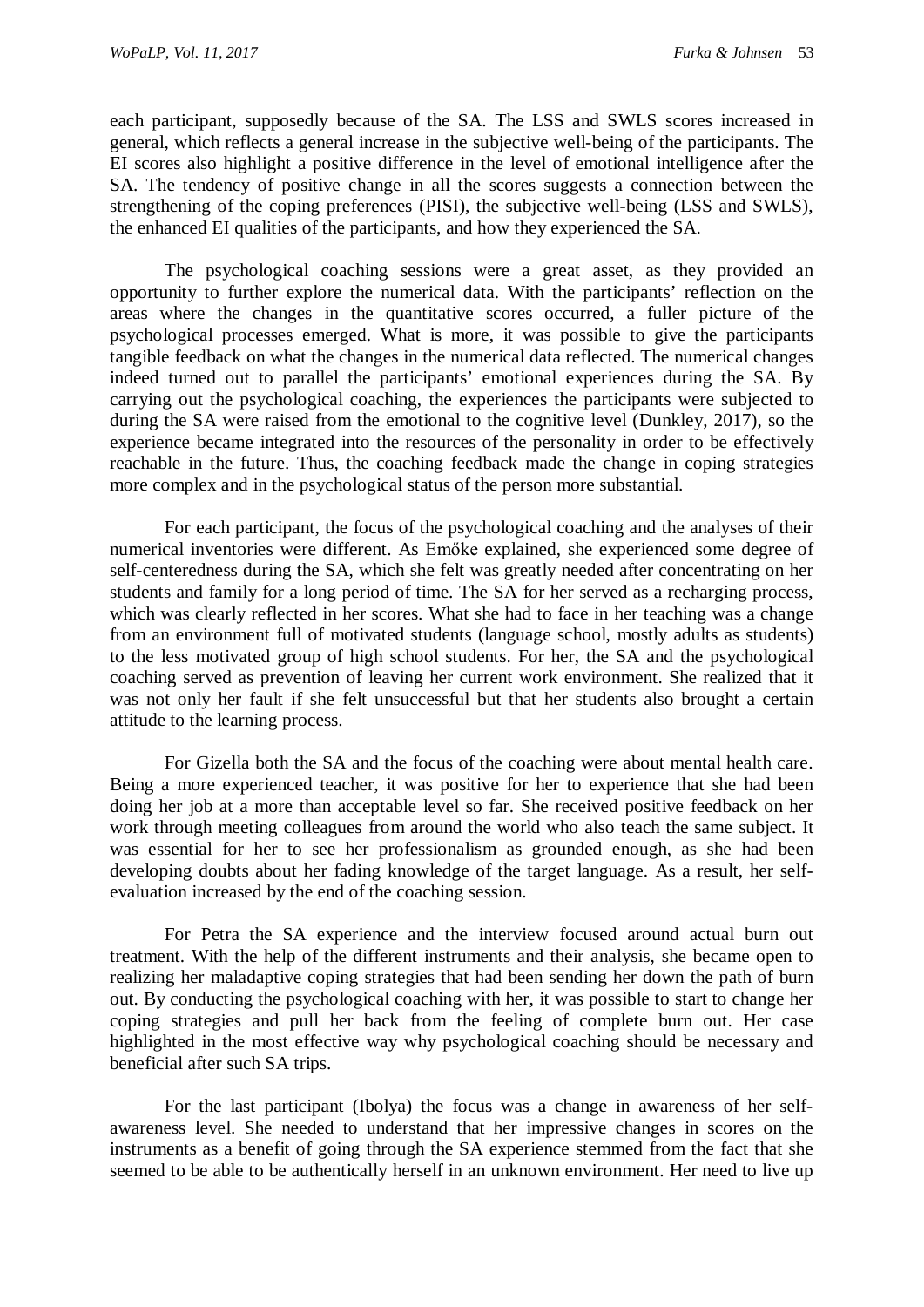each participant, supposedly because of the SA. The LSS and SWLS scores increased in general, which reflects a general increase in the subjective well-being of the participants. The EI scores also highlight a positive difference in the level of emotional intelligence after the SA. The tendency of positive change in all the scores suggests a connection between the strengthening of the coping preferences (PISI), the subjective well-being (LSS and SWLS), the enhanced EI qualities of the participants, and how they experienced the SA.

The psychological coaching sessions were a great asset, as they provided an opportunity to further explore the numerical data. With the participants' reflection on the areas where the changes in the quantitative scores occurred, a fuller picture of the psychological processes emerged. What is more, it was possible to give the participants tangible feedback on what the changes in the numerical data reflected. The numerical changes indeed turned out to parallel the participants' emotional experiences during the SA. By carrying out the psychological coaching, the experiences the participants were subjected to during the SA were raised from the emotional to the cognitive level (Dunkley, 2017), so the experience became integrated into the resources of the personality in order to be effectively reachable in the future. Thus, the coaching feedback made the change in coping strategies more complex and in the psychological status of the person more substantial.

For each participant, the focus of the psychological coaching and the analyses of their numerical inventories were different. As Emőke explained, she experienced some degree of self-centeredness during the SA, which she felt was greatly needed after concentrating on her students and family for a long period of time. The SA for her served as a recharging process, which was clearly reflected in her scores. What she had to face in her teaching was a change from an environment full of motivated students (language school, mostly adults as students) to the less motivated group of high school students. For her, the SA and the psychological coaching served as prevention of leaving her current work environment. She realized that it was not only her fault if she felt unsuccessful but that her students also brought a certain attitude to the learning process.

For Gizella both the SA and the focus of the coaching were about mental health care. Being a more experienced teacher, it was positive for her to experience that she had been doing her job at a more than acceptable level so far. She received positive feedback on her work through meeting colleagues from around the world who also teach the same subject. It was essential for her to see her professionalism as grounded enough, as she had been developing doubts about her fading knowledge of the target language. As a result, her selfevaluation increased by the end of the coaching session.

For Petra the SA experience and the interview focused around actual burn out treatment. With the help of the different instruments and their analysis, she became open to realizing her maladaptive coping strategies that had been sending her down the path of burn out. By conducting the psychological coaching with her, it was possible to start to change her coping strategies and pull her back from the feeling of complete burn out. Her case highlighted in the most effective way why psychological coaching should be necessary and beneficial after such SA trips.

For the last participant (Ibolya) the focus was a change in awareness of her selfawareness level. She needed to understand that her impressive changes in scores on the instruments as a benefit of going through the SA experience stemmed from the fact that she seemed to be able to be authentically herself in an unknown environment. Her need to live up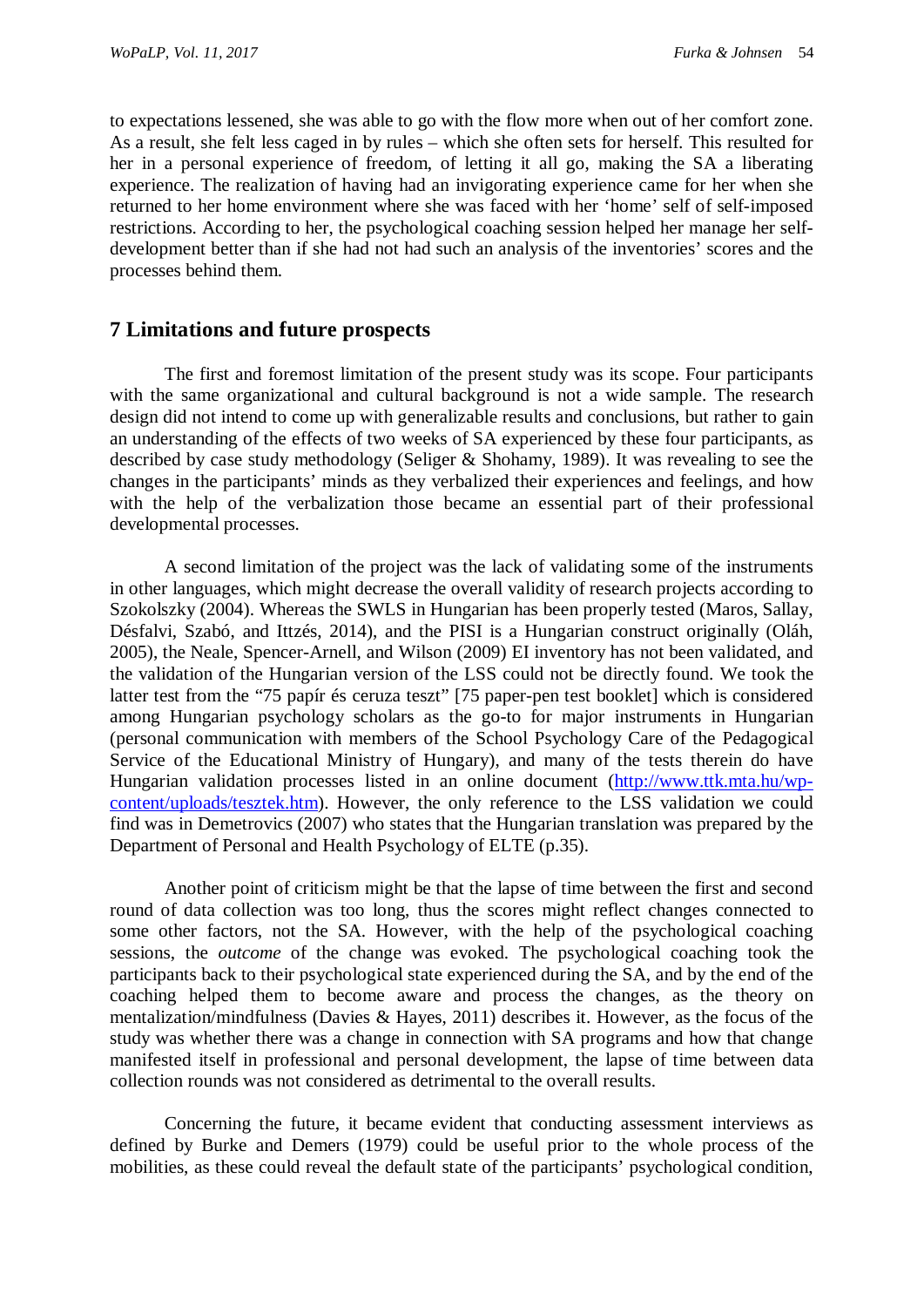to expectations lessened, she was able to go with the flow more when out of her comfort zone. As a result, she felt less caged in by rules – which she often sets for herself. This resulted for her in a personal experience of freedom, of letting it all go, making the SA a liberating experience. The realization of having had an invigorating experience came for her when she returned to her home environment where she was faced with her 'home' self of self-imposed restrictions. According to her, the psychological coaching session helped her manage her selfdevelopment better than if she had not had such an analysis of the inventories' scores and the processes behind them.

## **7 Limitations and future prospects**

The first and foremost limitation of the present study was its scope. Four participants with the same organizational and cultural background is not a wide sample. The research design did not intend to come up with generalizable results and conclusions, but rather to gain an understanding of the effects of two weeks of SA experienced by these four participants, as described by case study methodology (Seliger & Shohamy, 1989). It was revealing to see the changes in the participants' minds as they verbalized their experiences and feelings, and how with the help of the verbalization those became an essential part of their professional developmental processes.

A second limitation of the project was the lack of validating some of the instruments in other languages, which might decrease the overall validity of research projects according to Szokolszky (2004). Whereas the SWLS in Hungarian has been properly tested (Maros, Sallay, Désfalvi, Szabó, and Ittzés, 2014), and the PISI is a Hungarian construct originally (Oláh, 2005), the Neale, Spencer-Arnell, and Wilson (2009) EI inventory has not been validated, and the validation of the Hungarian version of the LSS could not be directly found. We took the latter test from the "75 papír és ceruza teszt" [75 paper-pen test booklet] which is considered among Hungarian psychology scholars as the go-to for major instruments in Hungarian (personal communication with members of the School Psychology Care of the Pedagogical Service of the Educational Ministry of Hungary), and many of the tests therein do have Hungarian validation processes listed in an online document [\(http://www.ttk.mta.hu/wp](http://www.ttk.mta.hu/wp-content/uploads/tesztek.htm)[content/uploads/tesztek.htm\)](http://www.ttk.mta.hu/wp-content/uploads/tesztek.htm). However, the only reference to the LSS validation we could find was in Demetrovics (2007) who states that the Hungarian translation was prepared by the Department of Personal and Health Psychology of ELTE (p.35).

Another point of criticism might be that the lapse of time between the first and second round of data collection was too long, thus the scores might reflect changes connected to some other factors, not the SA. However, with the help of the psychological coaching sessions, the *outcome* of the change was evoked. The psychological coaching took the participants back to their psychological state experienced during the SA, and by the end of the coaching helped them to become aware and process the changes, as the theory on mentalization/mindfulness (Davies & Hayes, 2011) describes it. However, as the focus of the study was whether there was a change in connection with SA programs and how that change manifested itself in professional and personal development, the lapse of time between data collection rounds was not considered as detrimental to the overall results.

Concerning the future, it became evident that conducting assessment interviews as defined by Burke and Demers (1979) could be useful prior to the whole process of the mobilities, as these could reveal the default state of the participants' psychological condition,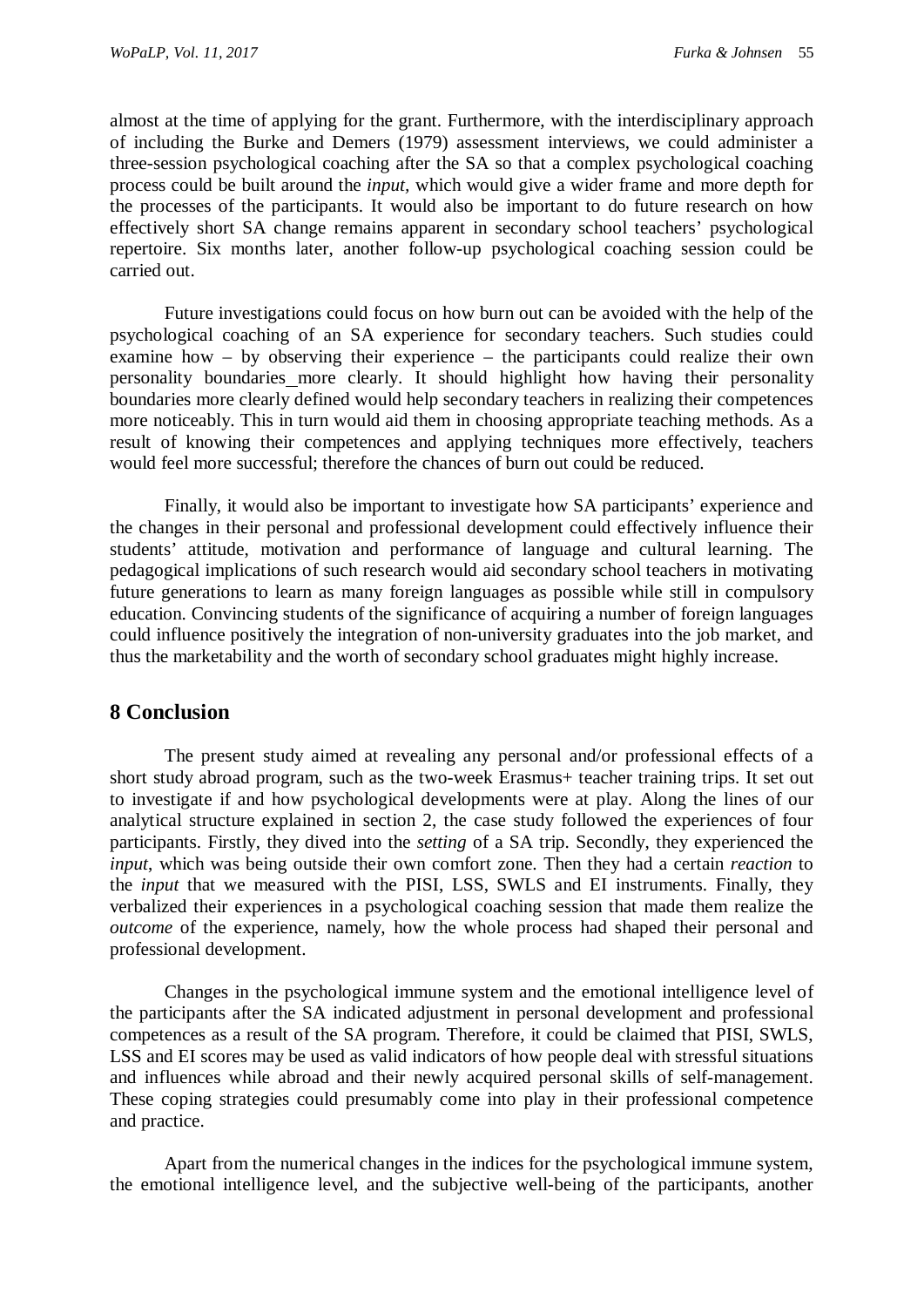almost at the time of applying for the grant. Furthermore, with the interdisciplinary approach of including the Burke and Demers (1979) assessment interviews, we could administer a three-session psychological coaching after the SA so that a complex psychological coaching process could be built around the *input,* which would give a wider frame and more depth for the processes of the participants. It would also be important to do future research on how effectively short SA change remains apparent in secondary school teachers' psychological repertoire. Six months later, another follow-up psychological coaching session could be carried out.

Future investigations could focus on how burn out can be avoided with the help of the psychological coaching of an SA experience for secondary teachers. Such studies could examine how – by observing their experience – the participants could realize their own personality boundaries more clearly. It should highlight how having their personality boundaries more clearly defined would help secondary teachers in realizing their competences more noticeably. This in turn would aid them in choosing appropriate teaching methods. As a result of knowing their competences and applying techniques more effectively, teachers would feel more successful; therefore the chances of burn out could be reduced.

Finally, it would also be important to investigate how SA participants' experience and the changes in their personal and professional development could effectively influence their students' attitude, motivation and performance of language and cultural learning. The pedagogical implications of such research would aid secondary school teachers in motivating future generations to learn as many foreign languages as possible while still in compulsory education. Convincing students of the significance of acquiring a number of foreign languages could influence positively the integration of non-university graduates into the job market, and thus the marketability and the worth of secondary school graduates might highly increase.

# **8 Conclusion**

The present study aimed at revealing any personal and/or professional effects of a short study abroad program, such as the two-week Erasmus+ teacher training trips. It set out to investigate if and how psychological developments were at play. Along the lines of our analytical structure explained in section 2, the case study followed the experiences of four participants. Firstly, they dived into the *setting* of a SA trip. Secondly, they experienced the *input*, which was being outside their own comfort zone. Then they had a certain *reaction* to the *input* that we measured with the PISI, LSS, SWLS and EI instruments. Finally, they verbalized their experiences in a psychological coaching session that made them realize the *outcome* of the experience, namely, how the whole process had shaped their personal and professional development.

Changes in the psychological immune system and the emotional intelligence level of the participants after the SA indicated adjustment in personal development and professional competences as a result of the SA program. Therefore, it could be claimed that PISI, SWLS, LSS and EI scores may be used as valid indicators of how people deal with stressful situations and influences while abroad and their newly acquired personal skills of self-management. These coping strategies could presumably come into play in their professional competence and practice.

Apart from the numerical changes in the indices for the psychological immune system, the emotional intelligence level, and the subjective well-being of the participants, another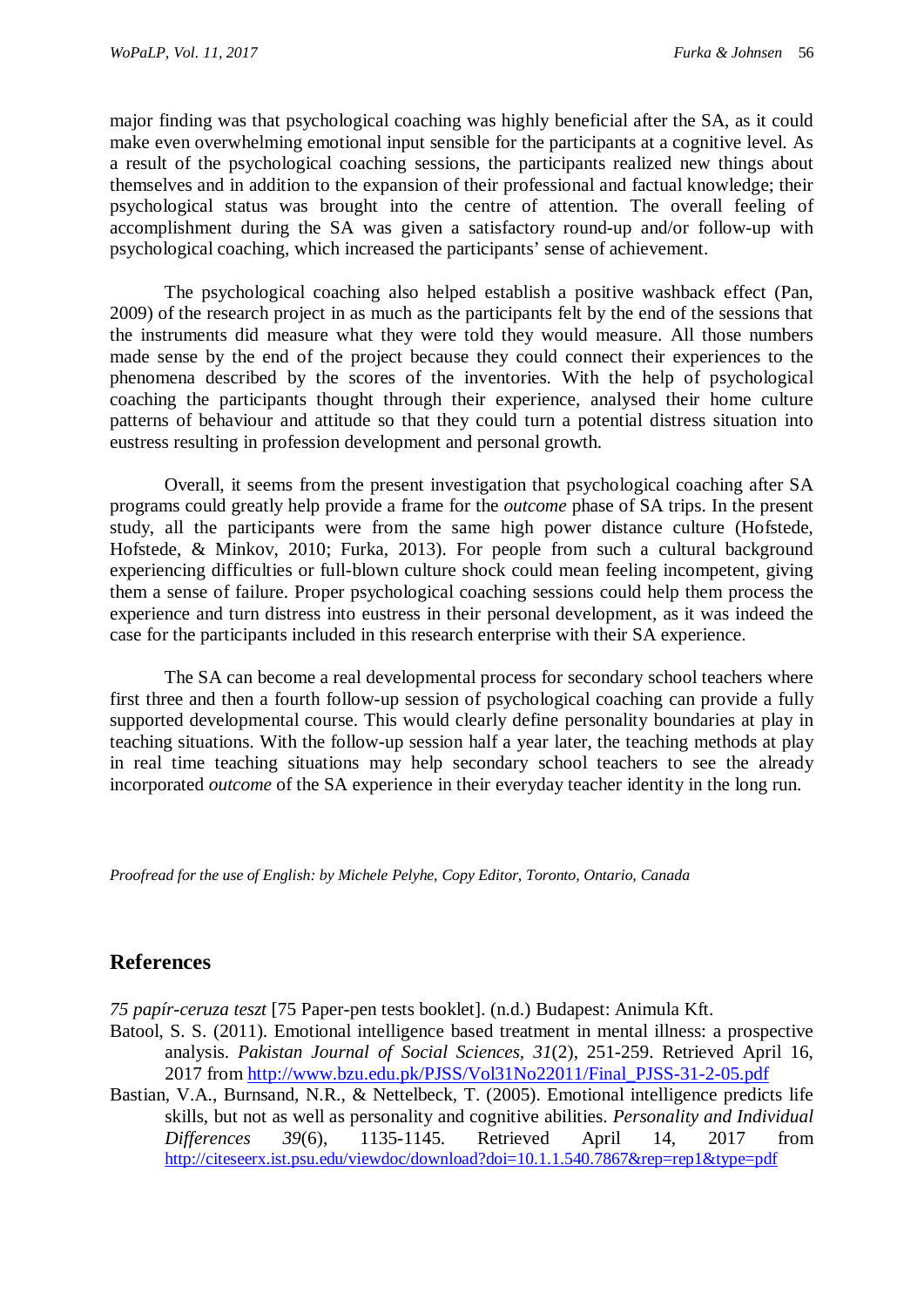major finding was that psychological coaching was highly beneficial after the SA, as it could make even overwhelming emotional input sensible for the participants at a cognitive level. As a result of the psychological coaching sessions, the participants realized new things about themselves and in addition to the expansion of their professional and factual knowledge; their psychological status was brought into the centre of attention. The overall feeling of accomplishment during the SA was given a satisfactory round-up and/or follow-up with psychological coaching, which increased the participants' sense of achievement.

The psychological coaching also helped establish a positive washback effect (Pan, 2009) of the research project in as much as the participants felt by the end of the sessions that the instruments did measure what they were told they would measure. All those numbers made sense by the end of the project because they could connect their experiences to the phenomena described by the scores of the inventories. With the help of psychological coaching the participants thought through their experience, analysed their home culture patterns of behaviour and attitude so that they could turn a potential distress situation into eustress resulting in profession development and personal growth.

Overall, it seems from the present investigation that psychological coaching after SA programs could greatly help provide a frame for the *outcome* phase of SA trips. In the present study, all the participants were from the same high power distance culture (Hofstede, Hofstede, & Minkov, 2010; Furka, 2013). For people from such a cultural background experiencing difficulties or full-blown culture shock could mean feeling incompetent, giving them a sense of failure. Proper psychological coaching sessions could help them process the experience and turn distress into eustress in their personal development, as it was indeed the case for the participants included in this research enterprise with their SA experience.

The SA can become a real developmental process for secondary school teachers where first three and then a fourth follow-up session of psychological coaching can provide a fully supported developmental course. This would clearly define personality boundaries at play in teaching situations. With the follow-up session half a year later, the teaching methods at play in real time teaching situations may help secondary school teachers to see the already incorporated *outcome* of the SA experience in their everyday teacher identity in the long run.

*Proofread for the use of English: by Michele Pelyhe, Copy Editor, Toronto, Ontario, Canada*

# **References**

*75 papír-ceruza teszt* [75 Paper-pen tests booklet]. (n.d.) Budapest: Animula Kft.

- Batool, S. S. (2011). Emotional intelligence based treatment in mental illness: a prospective analysis. *Pakistan Journal of Social Sciences, 31*(2), 251-259. Retrieved April 16, 2017 from [http://www.bzu.edu.pk/PJSS/Vol31No22011/Final\\_PJSS-31-2-05.pdf](http://www.bzu.edu.pk/PJSS/Vol31No22011/Final_PJSS-31-2-05.pdf)
- Bastian, V.A., Burnsand, N.R., & Nettelbeck, T. (2005). Emotional intelligence predicts life skills, but not as well as personality and cognitive abilities. *Personality and Individual Differences 39*(6), 1135-1145. Retrieved April 14, 2017 from <http://citeseerx.ist.psu.edu/viewdoc/download?doi=10.1.1.540.7867&rep=rep1&type=pdf>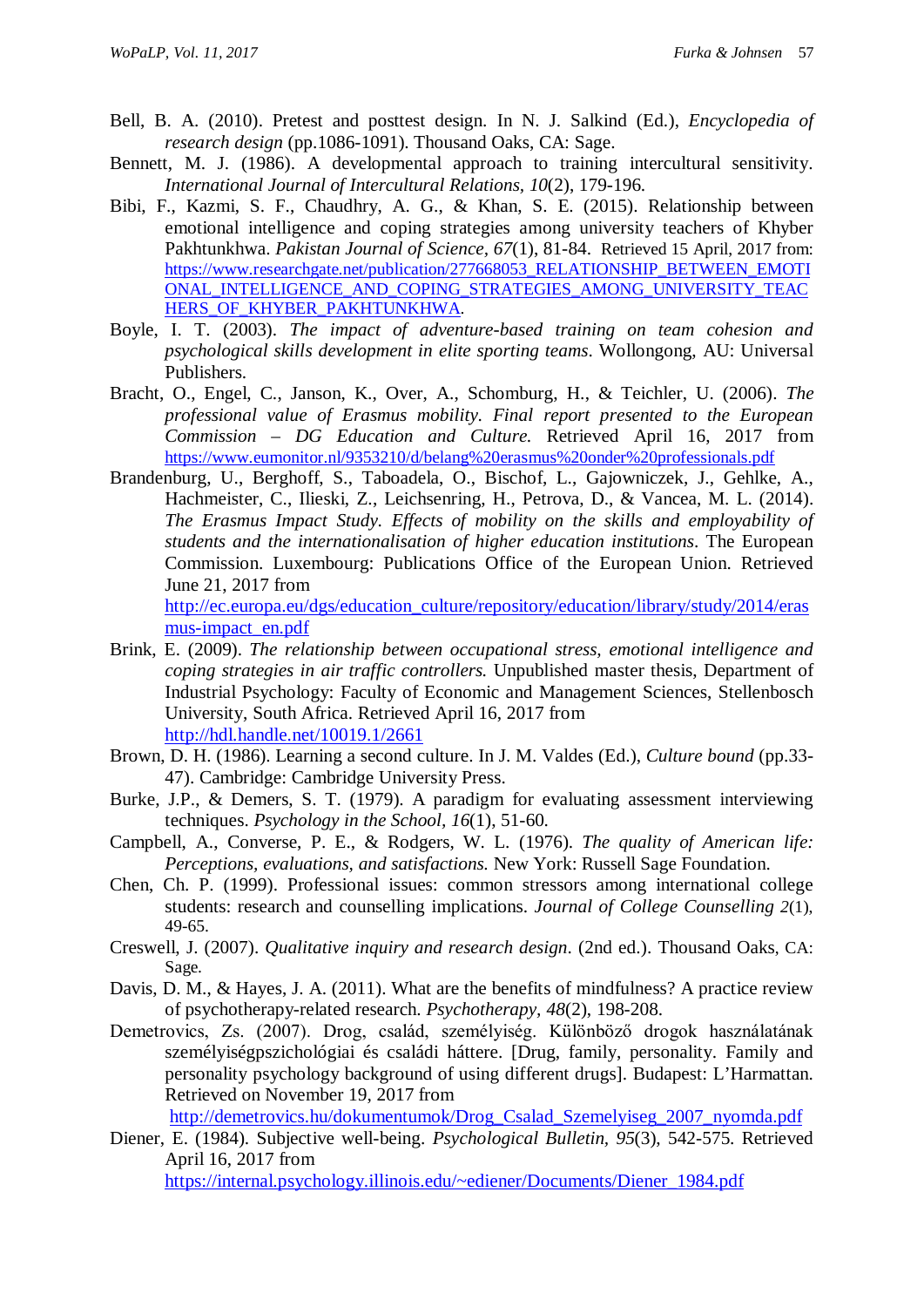- Bell, B. A. (2010). Pretest and posttest design. In N. J. Salkind (Ed.), *Encyclopedia of research design* (pp.1086-1091). Thousand Oaks, CA: Sage.
- Bennett, M. J. (1986). A developmental approach to training intercultural sensitivity. *International Journal of Intercultural Relations, 10*(2), 179-196.
- Bibi, F., Kazmi, S. F., Chaudhry, A. G., & Khan, S. E. (2015). Relationship between emotional intelligence and coping strategies among university teachers of Khyber Pakhtunkhwa. *Pakistan Journal of Science, 67*(1), 81-84. Retrieved 15 April, 2017 from: [https://www.researchgate.net/publication/277668053\\_RELATIONSHIP\\_BETWEEN\\_EMOTI](https://www.researchgate.net/publication/277668053_RELATIONSHIP_BETWEEN_EMOTIONAL_INTELLIGENCE_AND_COPING_STRATEGIES_AMONG_UNIVERSITY_TEACHERS_OF_KHYBER_PAKHTUNKHWA) [ONAL\\_INTELLIGENCE\\_AND\\_COPING\\_STRATEGIES\\_AMONG\\_UNIVERSITY\\_TEAC](https://www.researchgate.net/publication/277668053_RELATIONSHIP_BETWEEN_EMOTIONAL_INTELLIGENCE_AND_COPING_STRATEGIES_AMONG_UNIVERSITY_TEACHERS_OF_KHYBER_PAKHTUNKHWA) [HERS\\_OF\\_KHYBER\\_PAKHTUNKHWA.](https://www.researchgate.net/publication/277668053_RELATIONSHIP_BETWEEN_EMOTIONAL_INTELLIGENCE_AND_COPING_STRATEGIES_AMONG_UNIVERSITY_TEACHERS_OF_KHYBER_PAKHTUNKHWA)
- Boyle, I. T. (2003). *The impact of adventure-based training on team cohesion and psychological skills development in elite sporting teams*. Wollongong, AU: Universal Publishers.
- Bracht, O., Engel, C., Janson, K., Over, A., Schomburg, H., & Teichler, U. (2006). *The professional value of Erasmus mobility. Final report presented to the European Commission – DG Education and Culture.* Retrieved April 16, 2017 from <https://www.eumonitor.nl/9353210/d/belang%20erasmus%20onder%20professionals.pdf>
- Brandenburg, U., [Berghoff, S.,](http://www.che.de/cms/?getObject=247&getLang=de&strAction=show&PK_User=28) Taboadela, O., Bischof, L., Gajowniczek, J., Gehlke, A., [Hachmeister, C.,](http://www.che.de/cms/?getObject=247&getLang=de&strAction=show&PK_User=27) Ilieski, Z., Leichsenring, H., Petrova, D., & Vancea, M. L. (2014). *The Erasmus Impact Study. Effects of mobility on the skills and employability of students and the internationalisation of higher education institutions*. The European Commission. Luxembourg: Publications Office of the European Union. Retrieved June 21, 2017 from

[http://ec.europa.eu/dgs/education\\_culture/repository/education/library/study/2014/eras](http://ec.europa.eu/dgs/education_culture/repository/education/library/study/2014/erasmus-impact_en.pdf) [mus-impact\\_en.pdf](http://ec.europa.eu/dgs/education_culture/repository/education/library/study/2014/erasmus-impact_en.pdf)

- Brink, E. (2009). *The relationship between occupational stress, emotional intelligence and coping strategies in air traffic controllers.* Unpublished master thesis, Department of Industrial Psychology: Faculty of Economic and Management Sciences, Stellenbosch University, South Africa. Retrieved April 16, 2017 from <http://hdl.handle.net/10019.1/2661>
- Brown, D. H. (1986). Learning a second culture. In J. M. Valdes (Ed.), *Culture bound* (pp.33- 47). Cambridge: Cambridge University Press.
- Burke, J.P., & Demers, S. T. (1979). A paradigm for evaluating assessment interviewing techniques. *Psychology in the School, 16*(1), 51-60.
- Campbell, A., Converse, P. E., & Rodgers, W. L. (1976). *The quality of American life: Perceptions, evaluations, and satisfactions.* New York: Russell Sage Foundation.
- Chen, Ch. P. (1999). Professional issues: common stressors among international college students: research and counselling implications. *Journal of College Counselling 2*(1), 49-65.
- Creswell, J. (2007). *Qualitative inquiry and research design*. (2nd ed.). Thousand Oaks, CA: Sage.
- Davis, D. M., & Hayes, J. A. (2011). What are the benefits of mindfulness? A practice review of psychotherapy-related research. *Psychotherapy, 48*(2), 198-208.
- Demetrovics, Zs. (2007). Drog, család, személyiség. Különböző drogok használatának személyiségpszichológiai és családi háttere. [Drug, family, personality. Family and personality psychology background of using different drugs]. Budapest: L'Harmattan. Retrieved on November 19, 2017 from

[http://demetrovics.hu/dokumentumok/Drog\\_Csalad\\_Szemelyiseg\\_2007\\_nyomda.pdf](http://demetrovics.hu/dokumentumok/Drog_Csalad_Szemelyiseg_2007_nyomda.pdf)

Diener, E. (1984). Subjective well-being. *Psychological Bulletin, 95*(3), 542-575. Retrieved April 16, 2017 from

[https://internal.psychology.illinois.edu/~ediener/Documents/Diener\\_1984.pdf](https://internal.psychology.illinois.edu/%7Eediener/Documents/Diener_1984.pdf)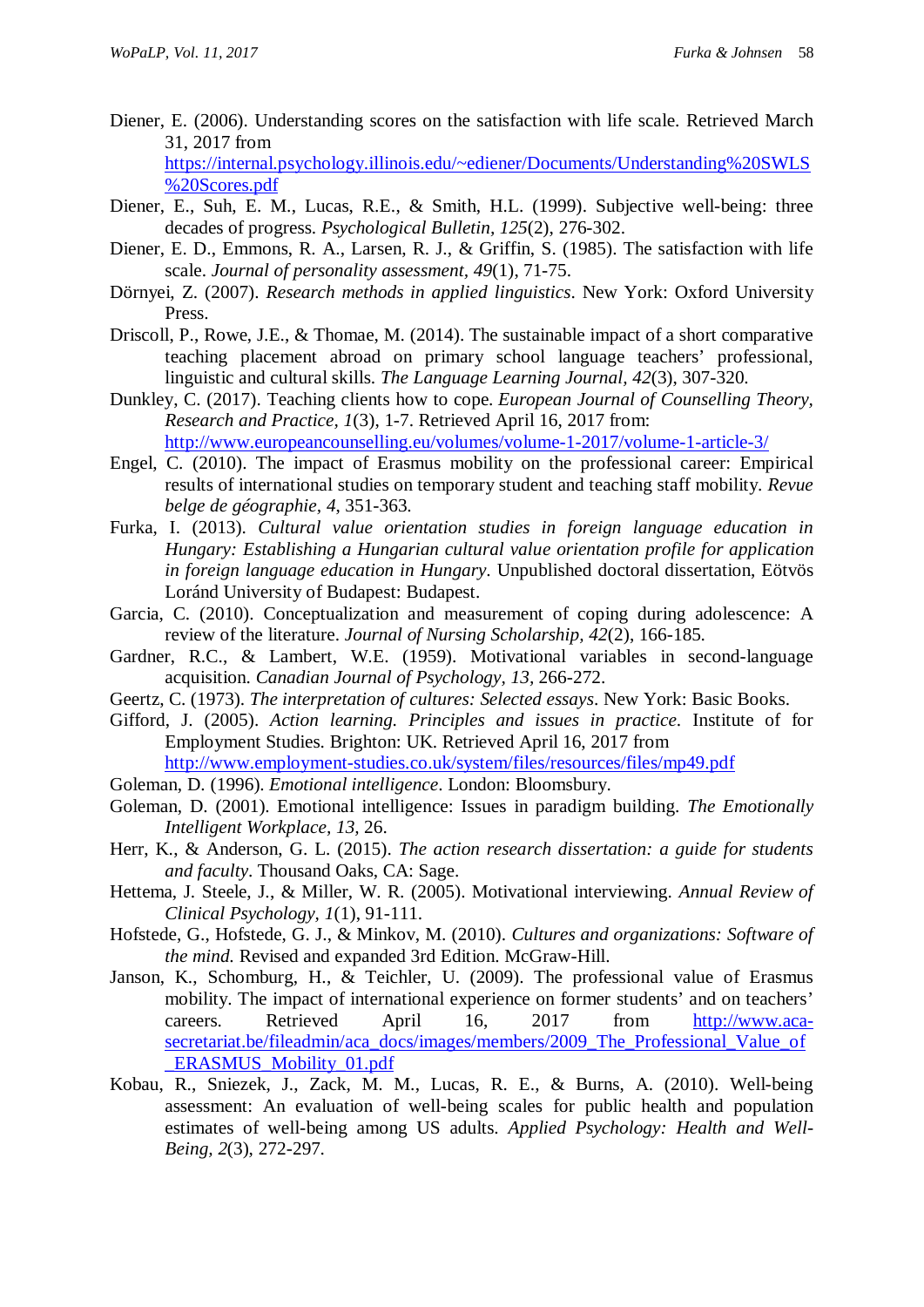Diener, E. (2006). Understanding scores on the satisfaction with life scale. Retrieved March 31, 2017 from

[https://internal.psychology.illinois.edu/~ediener/Documents/Understanding%20SWLS](https://internal.psychology.illinois.edu/%7Eediener/Documents/Understanding%20SWLS%20Scores.pdf) [%20Scores.pdf](https://internal.psychology.illinois.edu/%7Eediener/Documents/Understanding%20SWLS%20Scores.pdf)

- Diener, E., Suh, E. M., Lucas, R.E., & Smith, H.L. (1999). Subjective well-being: three decades of progress. *Psychological Bulletin, 125*(2), 276-302.
- Diener, E. D., Emmons, R. A., Larsen, R. J., & Griffin, S. (1985). The satisfaction with life scale. *Journal of personality assessment, 49*(1), 71-75.
- Dörnyei, Z. (2007). *Research methods in applied linguistics*. New York: Oxford University Press.
- Driscoll, P., Rowe, J.E., & Thomae, M. (2014). The sustainable impact of a short comparative teaching placement abroad on primary school language teachers' professional, linguistic and cultural skills. *The Language Learning Journal, 42*(3), 307-320.
- Dunkley, C. (2017). Teaching clients how to cope. *European Journal of Counselling Theory, Research and Practice, 1*(3), 1-7. Retrieved April 16, 2017 from: <http://www.europeancounselling.eu/volumes/volume-1-2017/volume-1-article-3/>
- Engel, C. (2010). The impact of Erasmus mobility on the professional career: Empirical results of international studies on temporary student and teaching staff mobility. *Revue belge de géographie, 4*, 351-363.
- Furka, I. (2013). *Cultural value orientation studies in foreign language education in Hungary: Establishing a Hungarian cultural value orientation profile for application in foreign language education in Hungary*. Unpublished doctoral dissertation, Eötvös Loránd University of Budapest: Budapest.
- Garcia, C. (2010). Conceptualization and measurement of coping during adolescence: A review of the literature. *Journal of Nursing Scholarship, 42*(2), 166-185.
- Gardner, R.C., & Lambert, W.E. (1959). Motivational variables in second-language acquisition. *Canadian Journal of Psychology, 13,* 266-272.
- Geertz, C. (1973). *The interpretation of cultures: Selected essays*. New York: Basic Books.
- Gifford, J. (2005). *Action learning. Principles and issues in practice*. Institute of for Employment Studies. Brighton: UK. Retrieved April 16, 2017 from <http://www.employment-studies.co.uk/system/files/resources/files/mp49.pdf>
- Goleman, D. (1996). *Emotional intelligence*. London: Bloomsbury.
- Goleman, D. (2001). Emotional intelligence: Issues in paradigm building. *The Emotionally Intelligent Workplace, 13,* 26.
- Herr, K., & Anderson, G. L. (2015). *The action research dissertation: a guide for students and faculty*. Thousand Oaks, CA: Sage.
- Hettema, J. Steele, J., & Miller, W. R. (2005). Motivational interviewing. *Annual Review of Clinical Psychology, 1*(1), 91-111.
- Hofstede, G., Hofstede, G. J., & Minkov, M. (2010). *Cultures and organizations: Software of the mind.* Revised and expanded 3rd Edition. McGraw-Hill.
- Janson, K., Schomburg, H., & Teichler, U. (2009). The professional value of Erasmus mobility. The impact of international experience on former students' and on teachers' careers. Retrieved April 16, 2017 from [http://www.aca](http://www.aca-secretariat.be/fileadmin/aca_docs/images/members/2009_The_Professional_Value_of_ERASMUS_Mobility_01.pdf)[secretariat.be/fileadmin/aca\\_docs/images/members/2009\\_The\\_Professional\\_Value\\_of](http://www.aca-secretariat.be/fileadmin/aca_docs/images/members/2009_The_Professional_Value_of_ERASMUS_Mobility_01.pdf) ERASMUS Mobility 01.pdf
- Kobau, R., Sniezek, J., Zack, M. M., Lucas, R. E., & Burns, A. (2010). Well-being assessment: An evaluation of well-being scales for public health and population estimates of well-being among US adults. *Applied Psychology: Health and Well-Being, 2*(3), 272-297.